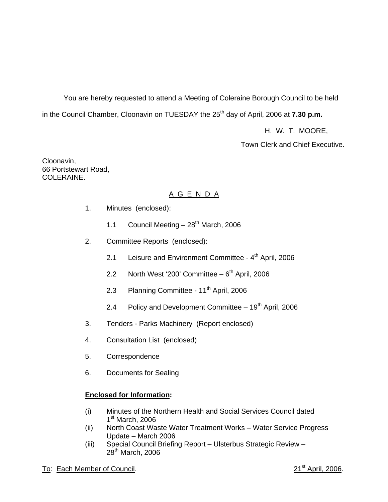You are hereby requested to attend a Meeting of Coleraine Borough Council to be held in the Council Chamber, Cloonavin on TUESDAY the 25<sup>th</sup> day of April, 2006 at **7.30 p.m.** 

H. W. T. MOORE,

Town Clerk and Chief Executive.

Cloonavin, 66 Portstewart Road, COLERAINE.

# A G E N D A

- 1. Minutes (enclosed):
	- 1.1 Council Meeting  $-28<sup>th</sup>$  March, 2006
- 2. Committee Reports (enclosed):
	- 2.1 Leisure and Environment Committee  $4<sup>th</sup>$  April, 2006
	- 2.2 North West '200' Committee  $-6<sup>th</sup>$  April, 2006
	- 2.3 Planning Committee 11<sup>th</sup> April, 2006
	- 2.4 Policy and Development Committee  $-19<sup>th</sup>$  April, 2006
- 3. Tenders Parks Machinery (Report enclosed)
- 4. Consultation List (enclosed)
- 5. Correspondence
- 6. Documents for Sealing

# **Enclosed for Information:**

- (i) Minutes of the Northern Health and Social Services Council dated  $1<sup>st</sup>$  March, 2006
- (ii) North Coast Waste Water Treatment Works Water Service Progress Update – March 2006
- (iii) Special Council Briefing Report Ulsterbus Strategic Review  $28<sup>th</sup>$  March, 2006

# To: Each Member of Council. 2006. The state of the state of the state of the state of the state of the state of the state of the state of the state of the state of the state of the state of the state of the state of the st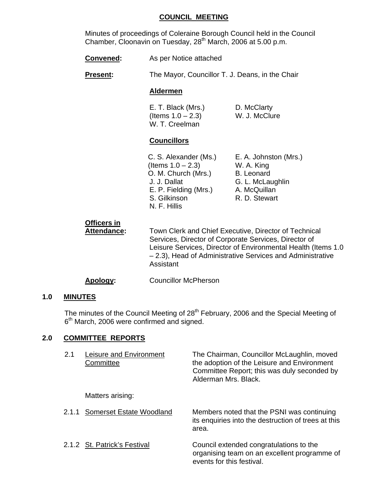### **COUNCIL MEETING**

 Minutes of proceedings of Coleraine Borough Council held in the Council Chamber, Cloonavin on Tuesday, 28<sup>th</sup> March, 2006 at 5.00 p.m.

**Convened:** As per Notice attached

**Present:** The Mayor, Councillor T. J. Deans, in the Chair

#### **Aldermen**

 E. T. Black (Mrs.) D. McClarty  $($ ltems  $1.0 - 2.3)$  W. J. McClure W. T. Creelman

# **Councillors**

| C. S. Alexander (Ms.) | E. A. Johnston (Mrs.) |
|-----------------------|-----------------------|
| (Items $1.0 - 2.3$ )  | W. A. King            |
| O. M. Church (Mrs.)   | <b>B.</b> Leonard     |
| J. J. Dallat          | G. L. McLaughlin      |
| E. P. Fielding (Mrs.) | A. McQuillan          |
| S. Gilkinson          | R. D. Stewart         |
| N. F. Hillis          |                       |

| Officers in<br>Attendance: | Town Clerk and Chief Executive, Director of Technical<br>Services, Director of Corporate Services, Director of<br>Leisure Services, Director of Environmental Health (Items 1.0) |
|----------------------------|----------------------------------------------------------------------------------------------------------------------------------------------------------------------------------|
|                            | - 2.3), Head of Administrative Services and Administrative<br>Assistant                                                                                                          |

### **Apology:** Councillor McPherson

### **1.0 MINUTES**

The minutes of the Council Meeting of 28<sup>th</sup> February, 2006 and the Special Meeting of 6<sup>th</sup> March, 2006 were confirmed and signed.

# **2.0 COMMITTEE REPORTS**

| 2.1   | Leisure and Environment<br>Committee | The Chairman, Councillor McLaughlin, moved<br>the adoption of the Leisure and Environment<br>Committee Report; this was duly seconded by<br>Alderman Mrs. Black. |
|-------|--------------------------------------|------------------------------------------------------------------------------------------------------------------------------------------------------------------|
|       | Matters arising:                     |                                                                                                                                                                  |
| 2.1.1 | Somerset Estate Woodland             | Members noted that the PSNI was continuing<br>its enquiries into the destruction of trees at this<br>area.                                                       |
|       | 2.1.2 St. Patrick's Festival         | Council extended congratulations to the<br>organising team on an excellent programme of<br>events for this festival.                                             |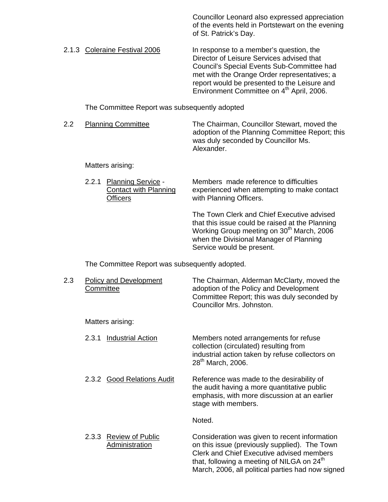Councillor Leonard also expressed appreciation of the events held in Portstewart on the evening of St. Patrick's Day.

2.1.3 Coleraine Festival 2006 In response to a member's question, the Director of Leisure Services advised that Council's Special Events Sub-Committee had met with the Orange Order representatives; a report would be presented to the Leisure and Environment Committee on 4<sup>th</sup> April, 2006.

The Committee Report was subsequently adopted

2.2 Planning Committee The Chairman, Councillor Stewart, moved the adoption of the Planning Committee Report; this was duly seconded by Councillor Ms. Alexander.

#### Matters arising:

2.2.1 Planning Service - Members made reference to difficulties Contact with Planning experienced when attempting to make contact **Officers** with Planning Officers.

> The Town Clerk and Chief Executive advised that this issue could be raised at the Planning Working Group meeting on 30<sup>th</sup> March, 2006 when the Divisional Manager of Planning Service would be present.

The Committee Report was subsequently adopted.

| 2.3 | <b>Policy and Development</b><br>Committee                | The Chairman, Alderman McClarty, moved the<br>adoption of the Policy and Development<br>Committee Report; this was duly seconded by<br>Councillor Mrs. Johnston.                                                                                                  |
|-----|-----------------------------------------------------------|-------------------------------------------------------------------------------------------------------------------------------------------------------------------------------------------------------------------------------------------------------------------|
|     | Matters arising:                                          |                                                                                                                                                                                                                                                                   |
|     | <b>Industrial Action</b><br>2.3.1                         | Members noted arrangements for refuse<br>collection (circulated) resulting from<br>industrial action taken by refuse collectors on<br>28 <sup>th</sup> March, 2006.                                                                                               |
|     | 2.3.2 Good Relations Audit                                | Reference was made to the desirability of<br>the audit having a more quantitative public<br>emphasis, with more discussion at an earlier<br>stage with members.                                                                                                   |
|     |                                                           | Noted.                                                                                                                                                                                                                                                            |
|     | <b>Review of Public</b><br>2.3.3<br><b>Administration</b> | Consideration was given to recent information<br>on this issue (previously supplied). The Town<br><b>Clerk and Chief Executive advised members</b><br>that, following a meeting of NILGA on 24 <sup>th</sup><br>March, 2006, all political parties had now signed |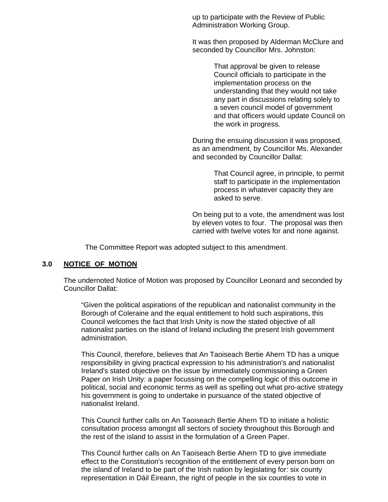up to participate with the Review of Public Administration Working Group.

It was then proposed by Alderman McClure and seconded by Councillor Mrs. Johnston:

> That approval be given to release Council officials to participate in the implementation process on the understanding that they would not take any part in discussions relating solely to a seven council model of government and that officers would update Council on the work in progress.

 During the ensuing discussion it was proposed, as an amendment, by Councillor Ms. Alexander and seconded by Councillor Dallat:

> That Council agree, in principle, to permit staff to participate in the implementation process in whatever capacity they are asked to serve.

 On being put to a vote, the amendment was lost by eleven votes to four. The proposal was then carried with twelve votes for and none against.

The Committee Report was adopted subject to this amendment.

# **3.0 NOTICE OF MOTION**

 The undernoted Notice of Motion was proposed by Councillor Leonard and seconded by Councillor Dallat:

"Given the political aspirations of the republican and nationalist community in the Borough of Coleraine and the equal entitlement to hold such aspirations, this Council welcomes the fact that Irish Unity is now the stated objective of all nationalist parties on the island of Ireland including the present Irish government administration.

This Council, therefore, believes that An Taoiseach Bertie Ahern TD has a unique responsibility in giving practical expression to his administration's and nationalist Ireland's stated objective on the issue by immediately commissioning a Green Paper on Irish Unity: a paper focussing on the compelling logic of this outcome in political, social and economic terms as well as spelling out what pro-active strategy his government is going to undertake in pursuance of the stated objective of nationalist Ireland.

This Council further calls on An Taoiseach Bertie Ahern TD to initiate a holistic consultation process amongst all sectors of society throughout this Borough and the rest of the island to assist in the formulation of a Green Paper.

This Council further calls on An Taoiseach Bertie Ahern TD to give immediate effect to the Constitution's recognition of the entitlement of every person born on the island of Ireland to be part of the Irish nation by legislating for: six county representation in Dáil Éireann, the right of people in the six counties to vote in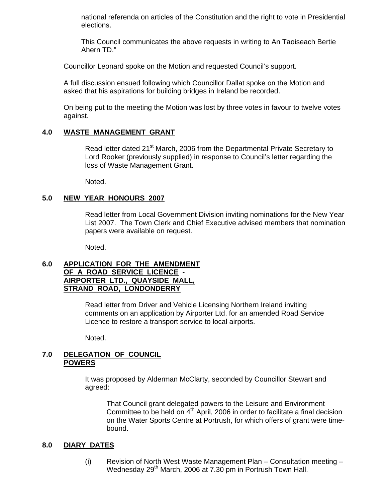national referenda on articles of the Constitution and the right to vote in Presidential elections.

This Council communicates the above requests in writing to An Taoiseach Bertie Ahern TD."

Councillor Leonard spoke on the Motion and requested Council's support.

 A full discussion ensued following which Councillor Dallat spoke on the Motion and asked that his aspirations for building bridges in Ireland be recorded.

On being put to the meeting the Motion was lost by three votes in favour to twelve votes against.

# **4.0 WASTE MANAGEMENT GRANT**

Read letter dated 21<sup>st</sup> March, 2006 from the Departmental Private Secretary to Lord Rooker (previously supplied) in response to Council's letter regarding the loss of Waste Management Grant.

Noted.

### **5.0 NEW YEAR HONOURS 2007**

Read letter from Local Government Division inviting nominations for the New Year List 2007. The Town Clerk and Chief Executive advised members that nomination papers were available on request.

Noted.

### **6.0 APPLICATION FOR THE AMENDMENT OF A ROAD SERVICE LICENCE - AIRPORTER LTD., QUAYSIDE MALL, STRAND ROAD, LONDONDERRY**

 Read letter from Driver and Vehicle Licensing Northern Ireland inviting comments on an application by Airporter Ltd. for an amended Road Service Licence to restore a transport service to local airports.

Noted.

### **7.0 DELEGATION OF COUNCIL POWERS**

It was proposed by Alderman McClarty, seconded by Councillor Stewart and agreed:

That Council grant delegated powers to the Leisure and Environment Committee to be held on  $4<sup>th</sup>$  April, 2006 in order to facilitate a final decision on the Water Sports Centre at Portrush, for which offers of grant were timebound.

#### **8.0 DIARY DATES**

(i) Revision of North West Waste Management Plan – Consultation meeting – Wednesday 29<sup>th</sup> March, 2006 at 7.30 pm in Portrush Town Hall.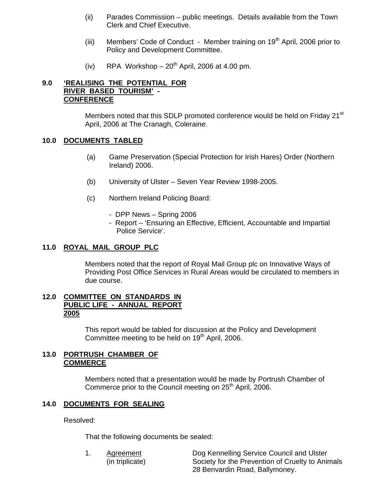- (ii) Parades Commission public meetings. Details available from the Town Clerk and Chief Executive.
- (iii) Members' Code of Conduct Member training on 19<sup>th</sup> April, 2006 prior to Policy and Development Committee.
- (iv) RPA Workshop  $-20^{th}$  April, 2006 at 4.00 pm.

# **9.0 'REALISING THE POTENTIAL FOR RIVER BASED TOURISM' - CONFERENCE**

Members noted that this SDLP promoted conference would be held on Friday 21<sup>st</sup> April, 2006 at The Cranagh, Coleraine.

### **10.0 DOCUMENTS TABLED**

- (a) Game Preservation (Special Protection for Irish Hares) Order (Northern Ireland) 2006.
- (b) University of Ulster Seven Year Review 1998-2005.
- (c) Northern Ireland Policing Board:
	- DPP News Spring 2006
	- Report 'Ensuring an Effective, Efficient, Accountable and Impartial Police Service'.

#### **11.0 ROYAL MAIL GROUP PLC**

Members noted that the report of Royal Mail Group plc on Innovative Ways of Providing Post Office Services in Rural Areas would be circulated to members in due course.

### **12.0 COMMITTEE ON STANDARDS IN PUBLIC LIFE - ANNUAL REPORT 2005**

This report would be tabled for discussion at the Policy and Development Committee meeting to be held on  $19<sup>th</sup>$  April, 2006.

#### **13.0 PORTRUSH CHAMBER OF COMMERCE**

 Members noted that a presentation would be made by Portrush Chamber of Commerce prior to the Council meeting on 25<sup>th</sup> April, 2006.

# **14.0 DOCUMENTS FOR SEALING**

Resolved:

That the following documents be sealed:

 1. Agreement Dog Kennelling Service Council and Ulster (in triplicate) Society for the Prevention of Cruelty to Animals 28 Benvardin Road, Ballymoney.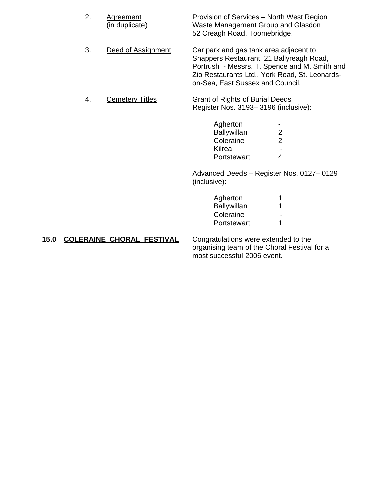| 2. | Agreement<br>(in duplicate) | Provision of Services – North West Region<br>Waste Management Group and Glasdon<br>52 Creagh Road, Toomebridge.                                                                                                           |   |
|----|-----------------------------|---------------------------------------------------------------------------------------------------------------------------------------------------------------------------------------------------------------------------|---|
| 3. | Deed of Assignment          | Car park and gas tank area adjacent to<br>Snappers Restaurant, 21 Ballyreagh Road,<br>Portrush - Messrs. T. Spence and M. Smith and<br>Zio Restaurants Ltd., York Road, St. Leonards-<br>on-Sea, East Sussex and Council. |   |
| 4. | <b>Cemetery Titles</b>      | <b>Grant of Rights of Burial Deeds</b><br>Register Nos. 3193-3196 (inclusive):                                                                                                                                            |   |
|    |                             | Agherton<br><b>Ballywillan</b>                                                                                                                                                                                            | 2 |
|    |                             | Coleraine                                                                                                                                                                                                                 | 2 |

 Advanced Deeds – Register Nos. 0127– 0129 (inclusive):

| Agherton    |        |
|-------------|--------|
| Ballywillan |        |
| Coleraine   | $\sim$ |
| Portstewart |        |

Portstewart 4

### 15.0 COLERAINE CHORAL FESTIVAL Congratulations were extended to the organising team of the Choral Festival for a most successful 2006 event.

e de la contradición de la contradición de la contradición de la contradición de la contradición de la contradición de la contradición de la contradición de la contradición de la contradición de la contradición de la contr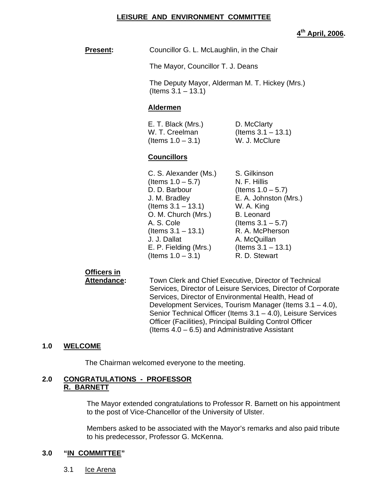#### **LEISURE AND ENVIRONMENT COMMITTEE**

**4th April, 2006.** 

**Present:** Councillor G. L. McLaughlin, in the Chair

The Mayor, Councillor T. J. Deans

 The Deputy Mayor, Alderman M. T. Hickey (Mrs.)  $($  ltems  $3.1 - 13.1)$ 

#### **Aldermen**

| E. T. Black (Mrs.)   | D. McClarty           |
|----------------------|-----------------------|
| W. T. Creelman       | (Items $3.1 - 13.1$ ) |
| (Items $1.0 - 3.1$ ) | W. J. McClure         |

# **Councillors**

| C. S. Alexander (Ms.) | S. Gilkinson          |
|-----------------------|-----------------------|
| (Items $1.0 - 5.7$ )  | N. F. Hillis          |
| D. D. Barbour         | (Items $1.0 - 5.7$ )  |
| J. M. Bradley         | E. A. Johnston (Mrs.) |
| (Items $3.1 - 13.1$ ) | W. A. King            |
| O. M. Church (Mrs.)   | <b>B.</b> Leonard     |
| A. S. Cole            | (Items $3.1 - 5.7$ )  |
| (Items $3.1 - 13.1$ ) | R. A. McPherson       |
| J. J. Dallat          | A. McQuillan          |
| E. P. Fielding (Mrs.) | (Items $3.1 - 13.1$ ) |
| (Items $1.0 - 3.1$ )  | R. D. Stewart         |

# **Officers in**

 **Attendance:** Town Clerk and Chief Executive, Director of Technical Services, Director of Leisure Services, Director of Corporate Services, Director of Environmental Health, Head of Development Services, Tourism Manager (Items 3.1 – 4.0), Senior Technical Officer (Items 3.1 – 4.0), Leisure Services Officer (Facilities), Principal Building Control Officer (Items 4.0 – 6.5) and Administrative Assistant

# **1.0 WELCOME**

The Chairman welcomed everyone to the meeting.

### **2.0 CONGRATULATIONS - PROFESSOR R. BARNETT**

The Mayor extended congratulations to Professor R. Barnett on his appointment to the post of Vice-Chancellor of the University of Ulster.

Members asked to be associated with the Mayor's remarks and also paid tribute to his predecessor, Professor G. McKenna.

# **3.0 "IN COMMITTEE"**

3.1 lce Arena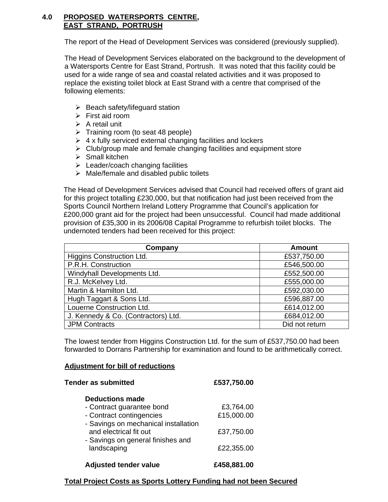# **4.0 PROPOSED WATERSPORTS CENTRE, EAST STRAND, PORTRUSH**

The report of the Head of Development Services was considered (previously supplied).

The Head of Development Services elaborated on the background to the development of a Watersports Centre for East Strand, Portrush. It was noted that this facility could be used for a wide range of sea and coastal related activities and it was proposed to replace the existing toilet block at East Strand with a centre that comprised of the following elements:

- $\triangleright$  Beach safety/lifeguard station
- $\triangleright$  First aid room
- $\triangleright$  A retail unit
- $\triangleright$  Training room (to seat 48 people)
- $\triangleright$  4 x fully serviced external changing facilities and lockers
- $\triangleright$  Club/group male and female changing facilities and equipment store
- $\triangleright$  Small kitchen
- $\blacktriangleright$  Leader/coach changing facilities
- $\triangleright$  Male/female and disabled public toilets

The Head of Development Services advised that Council had received offers of grant aid for this project totalling £230,000, but that notification had just been received from the Sports Council Northern Ireland Lottery Programme that Council's application for £200,000 grant aid for the project had been unsuccessful. Council had made additional provision of £35,300 in its 2006/08 Capital Programme to refurbish toilet blocks. The undernoted tenders had been received for this project:

| Company                             | <b>Amount</b>  |
|-------------------------------------|----------------|
| Higgins Construction Ltd.           | £537,750.00    |
| P.R.H. Construction                 | £546,500.00    |
| Windyhall Developments Ltd.         | £552,500.00    |
| R.J. McKelvey Ltd.                  | £555,000.00    |
| Martin & Hamilton Ltd.              | £592,030.00    |
| Hugh Taggart & Sons Ltd.            | £596,887.00    |
| Louerne Construction Ltd.           | £614,012.00    |
| J. Kennedy & Co. (Contractors) Ltd. | £684,012.00    |
| <b>JPM Contracts</b>                | Did not return |

The lowest tender from Higgins Construction Ltd. for the sum of £537,750.00 had been forwarded to Dorrans Partnership for examination and found to be arithmetically correct.

# **Adjustment for bill of reductions**

| <b>Tender as submitted</b>                                       | £537,750.00 |  |
|------------------------------------------------------------------|-------------|--|
| <b>Deductions made</b>                                           |             |  |
| - Contract guarantee bond                                        | £3,764.00   |  |
| - Contract contingencies<br>- Savings on mechanical installation | £15,000.00  |  |
| and electrical fit out<br>- Savings on general finishes and      | £37,750.00  |  |
| landscaping                                                      | £22,355.00  |  |
| <b>Adjusted tender value</b>                                     | £458,881.00 |  |

# **Total Project Costs as Sports Lottery Funding had not been Secured**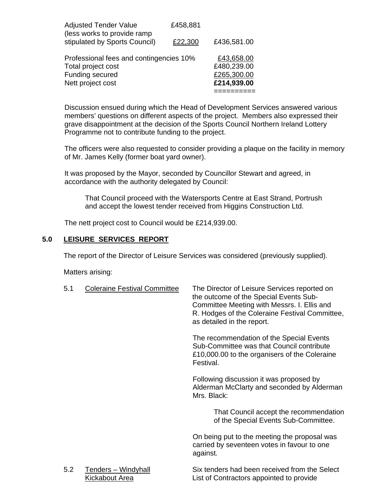| <b>Adjusted Tender Value</b><br>(less works to provide ramp | £458,881 |             |
|-------------------------------------------------------------|----------|-------------|
| stipulated by Sports Council)                               | £22,300  | £436,581.00 |
| Professional fees and contingencies 10%                     |          | £43,658.00  |
| Total project cost                                          |          | £480,239.00 |
| Funding secured                                             |          | £265,300.00 |
| Nett project cost                                           |          | £214,939.00 |
|                                                             |          |             |

Discussion ensued during which the Head of Development Services answered various members' questions on different aspects of the project. Members also expressed their grave disappointment at the decision of the Sports Council Northern Ireland Lottery Programme not to contribute funding to the project.

The officers were also requested to consider providing a plaque on the facility in memory of Mr. James Kelly (former boat yard owner).

It was proposed by the Mayor, seconded by Councillor Stewart and agreed, in accordance with the authority delegated by Council:

 That Council proceed with the Watersports Centre at East Strand, Portrush and accept the lowest tender received from Higgins Construction Ltd.

The nett project cost to Council would be £214,939.00.

# **5.0 LEISURE SERVICES REPORT**

The report of the Director of Leisure Services was considered (previously supplied).

Matters arising:

| 5.1 | <b>Coleraine Festival Committee</b>   | The Director of Leisure Services reported on<br>the outcome of the Special Events Sub-<br>Committee Meeting with Messrs. I. Ellis and<br>R. Hodges of the Coleraine Festival Committee,<br>as detailed in the report. |
|-----|---------------------------------------|-----------------------------------------------------------------------------------------------------------------------------------------------------------------------------------------------------------------------|
|     |                                       | The recommendation of the Special Events<br>Sub-Committee was that Council contribute<br>£10,000.00 to the organisers of the Coleraine<br>Festival.                                                                   |
|     |                                       | Following discussion it was proposed by<br>Alderman McClarty and seconded by Alderman<br>Mrs. Black:                                                                                                                  |
|     |                                       | That Council accept the recommendation<br>of the Special Events Sub-Committee.                                                                                                                                        |
|     |                                       | On being put to the meeting the proposal was<br>carried by seventeen votes in favour to one<br>against.                                                                                                               |
| 5.2 | Tenders - Windyhall<br>Kickabout Area | Six tenders had been received from the Select<br>List of Contractors appointed to provide                                                                                                                             |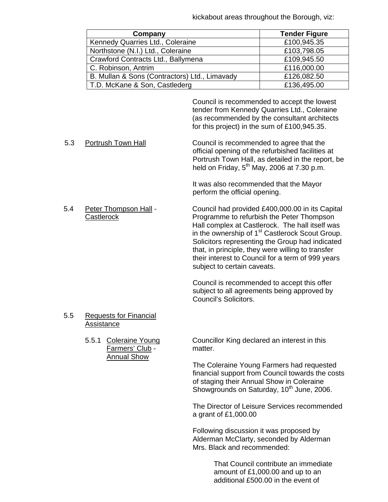kickabout areas throughout the Borough, viz:

| Company                                       | <b>Tender Figure</b> |
|-----------------------------------------------|----------------------|
| Kennedy Quarries Ltd., Coleraine              | £100,945.35          |
| Northstone (N.I.) Ltd., Coleraine             | £103,798.05          |
| Crawford Contracts Ltd., Ballymena            | £109,945.50          |
| C. Robinson, Antrim                           | £116,000.00          |
| B. Mullan & Sons (Contractors) Ltd., Limavady | £126,082.50          |
| T.D. McKane & Son, Castlederg                 | £136,495.00          |

 Council is recommended to accept the lowest tender from Kennedy Quarries Ltd., Coleraine (as recommended by the consultant architects for this project) in the sum of £100,945.35.

5.3 Portrush Town Hall Council is recommended to agree that the official opening of the refurbished facilities at Portrush Town Hall, as detailed in the report, be held on Friday,  $5^{th}$  May, 2006 at 7.30 p.m.

> It was also recommended that the Mayor perform the official opening.

 5.4 Peter Thompson Hall - Council had provided £400,000.00 in its Capital Castlerock Programme to refurbish the Peter Thompson Hall complex at Castlerock. The hall itself was in the ownership of  $1<sup>st</sup>$  Castlerock Scout Group. Solicitors representing the Group had indicated that, in principle, they were willing to transfer their interest to Council for a term of 999 years

> Council is recommended to accept this offer subject to all agreements being approved by Council's Solicitors.

subject to certain caveats.

 5.5 Requests for Financial Assistance

> Farmers' Club - matter. Annual Show

5.5.1 Coleraine Young Councillor King declared an interest in this

The Coleraine Young Farmers had requested financial support from Council towards the costs of staging their Annual Show in Coleraine Showgrounds on Saturday, 10<sup>th</sup> June, 2006.

The Director of Leisure Services recommended a grant of £1,000.00

Following discussion it was proposed by Alderman McClarty, seconded by Alderman Mrs. Black and recommended:

> That Council contribute an immediate amount of £1,000.00 and up to an additional £500.00 in the event of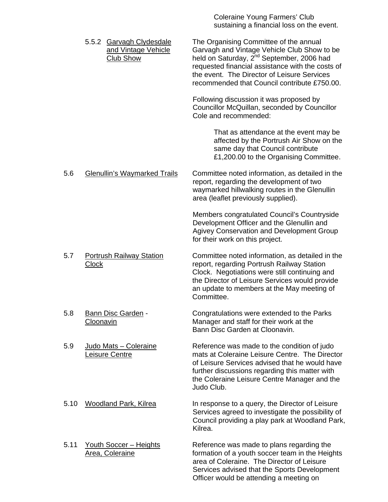Coleraine Young Farmers' Club sustaining a financial loss on the event.

|      | 5.5.2 Garvagh Clydesdale<br>and Vintage Vehicle<br><b>Club Show</b> | The Organising Committee of the annual<br>Garvagh and Vintage Vehicle Club Show to be<br>held on Saturday, 2 <sup>nd</sup> September, 2006 had<br>requested financial assistance with the costs of<br>the event. The Director of Leisure Services<br>recommended that Council contribute £750.00. |
|------|---------------------------------------------------------------------|---------------------------------------------------------------------------------------------------------------------------------------------------------------------------------------------------------------------------------------------------------------------------------------------------|
|      |                                                                     | Following discussion it was proposed by<br>Councillor McQuillan, seconded by Councillor<br>Cole and recommended:                                                                                                                                                                                  |
|      |                                                                     | That as attendance at the event may be<br>affected by the Portrush Air Show on the<br>same day that Council contribute<br>£1,200.00 to the Organising Committee.                                                                                                                                  |
| 5.6  | <b>Glenullin's Waymarked Trails</b>                                 | Committee noted information, as detailed in the<br>report, regarding the development of two<br>waymarked hillwalking routes in the Glenullin<br>area (leaflet previously supplied).                                                                                                               |
|      |                                                                     | Members congratulated Council's Countryside<br>Development Officer and the Glenullin and<br>Agivey Conservation and Development Group<br>for their work on this project.                                                                                                                          |
| 5.7  | <b>Portrush Railway Station</b><br><b>Clock</b>                     | Committee noted information, as detailed in the<br>report, regarding Portrush Railway Station<br>Clock. Negotiations were still continuing and<br>the Director of Leisure Services would provide<br>an update to members at the May meeting of<br>Committee.                                      |
| 5.8  | Bann Disc Garden -<br>Cloonavin                                     | Congratulations were extended to the Parks<br>Manager and staff for their work at the<br>Bann Disc Garden at Cloonavin.                                                                                                                                                                           |
| 5.9  | Judo Mats - Coleraine<br>Leisure Centre                             | Reference was made to the condition of judo<br>mats at Coleraine Leisure Centre. The Director<br>of Leisure Services advised that he would have<br>further discussions regarding this matter with<br>the Coleraine Leisure Centre Manager and the<br>Judo Club.                                   |
| 5.10 | <b>Woodland Park, Kilrea</b>                                        | In response to a query, the Director of Leisure<br>Services agreed to investigate the possibility of<br>Council providing a play park at Woodland Park,<br>Kilrea.                                                                                                                                |
| 5.11 | <b>Youth Soccer - Heights</b><br>Area, Coleraine                    | Reference was made to plans regarding the<br>formation of a youth soccer team in the Heights<br>area of Coleraine. The Director of Leisure<br>Services advised that the Sports Development                                                                                                        |

Officer would be attending a meeting on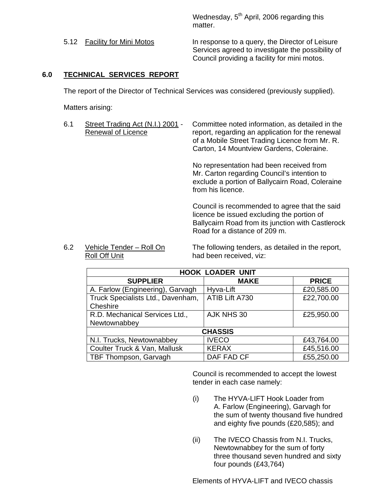Wednesday,  $5<sup>th</sup>$  April, 2006 regarding this matter.

5.12 Facility for Mini Motos In response to a query, the Director of Leisure Services agreed to investigate the possibility of Council providing a facility for mini motos.

# **6.0 TECHNICAL SERVICES REPORT**

The report of the Director of Technical Services was considered (previously supplied).

Matters arising:

6.1 Street Trading Act (N.I.) 2001 - Committee noted information, as detailed in the Renewal of Licence report, regarding an application for the renewal of a Mobile Street Trading Licence from Mr. R. Carton, 14 Mountview Gardens, Coleraine.

> No representation had been received from Mr. Carton regarding Council's intention to exclude a portion of Ballycairn Road, Coleraine from his licence.

Council is recommended to agree that the said licence be issued excluding the portion of Ballycairn Road from its junction with Castlerock Road for a distance of 209 m.

Roll Off Unit **had been received, viz:** 

6.2 Vehicle Tender – Roll On The following tenders, as detailed in the report,

| <b>HOOK LOADER UNIT</b>                           |                             |            |  |  |  |
|---------------------------------------------------|-----------------------------|------------|--|--|--|
| <b>SUPPLIER</b>                                   | <b>PRICE</b><br><b>MAKE</b> |            |  |  |  |
| A. Farlow (Engineering), Garvagh                  | Hyva-Lift                   | £20,585.00 |  |  |  |
| Truck Specialists Ltd., Davenham,                 | ATIB Lift A730              | £22,700.00 |  |  |  |
| Cheshire                                          |                             |            |  |  |  |
| R.D. Mechanical Services Ltd.,                    | AJK NHS 30                  | £25,950.00 |  |  |  |
| Newtownabbey                                      |                             |            |  |  |  |
| <b>CHASSIS</b>                                    |                             |            |  |  |  |
| N.I. Trucks, Newtownabbey                         | <b>IVECO</b>                | £43,764.00 |  |  |  |
| Coulter Truck & Van, Mallusk                      | <b>KERAX</b>                | £45,516.00 |  |  |  |
| DAF FAD CF<br>£55,250.00<br>TBF Thompson, Garvagh |                             |            |  |  |  |

Council is recommended to accept the lowest tender in each case namely:

- (i) The HYVA-LIFT Hook Loader from A. Farlow (Engineering), Garvagh for the sum of twenty thousand five hundred and eighty five pounds (£20,585); and
- (ii) The IVECO Chassis from N.I. Trucks, Newtownabbey for the sum of forty three thousand seven hundred and sixty four pounds (£43,764)

Elements of HYVA-LIFT and IVECO chassis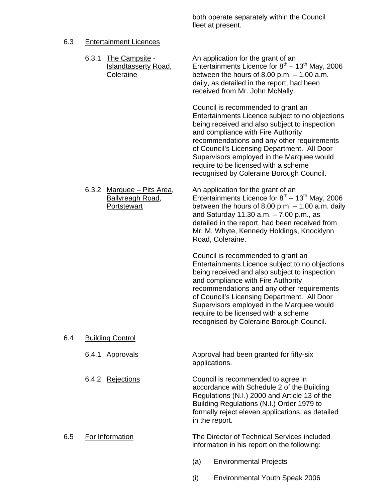both operate separately within the Council fleet at present.

# 6.3 Entertainment Licences

|     | 6.3.1 | The Campsite -<br><b>Islandtasserty Road,</b><br><b>Coleraine</b> |     | An application for the grant of an<br>Entertainments Licence for $8^{th}$ – 13 <sup>th</sup> May, 2006<br>between the hours of 8.00 p.m. $-1.00$ a.m.<br>daily, as detailed in the report, had been<br>received from Mr. John McNally.                                                                                                                                                                     |
|-----|-------|-------------------------------------------------------------------|-----|------------------------------------------------------------------------------------------------------------------------------------------------------------------------------------------------------------------------------------------------------------------------------------------------------------------------------------------------------------------------------------------------------------|
|     |       |                                                                   |     | Council is recommended to grant an<br>Entertainments Licence subject to no objections<br>being received and also subject to inspection<br>and compliance with Fire Authority<br>recommendations and any other requirements<br>of Council's Licensing Department. All Door<br>Supervisors employed in the Marquee would<br>require to be licensed with a scheme<br>recognised by Coleraine Borough Council. |
|     |       | 6.3.2 Marquee – Pits Area,<br>Ballyreagh Road,<br>Portstewart     |     | An application for the grant of an<br>Entertainments Licence for $8^{th}$ – 13 <sup>th</sup> May, 2006<br>between the hours of 8.00 p.m. $-$ 1.00 a.m. daily<br>and Saturday 11.30 $a.m. - 7.00$ p.m., as<br>detailed in the report, had been received from<br>Mr. M. Whyte, Kennedy Holdings, Knocklynn<br>Road, Coleraine.                                                                               |
|     |       |                                                                   |     | Council is recommended to grant an<br>Entertainments Licence subject to no objections<br>being received and also subject to inspection<br>and compliance with Fire Authority<br>recommendations and any other requirements<br>of Council's Licensing Department. All Door<br>Supervisors employed in the Marquee would<br>require to be licensed with a scheme<br>recognised by Coleraine Borough Council. |
| 6.4 |       | <b>Building Control</b>                                           |     |                                                                                                                                                                                                                                                                                                                                                                                                            |
|     | 6.4.1 | <b>Approvals</b>                                                  |     | Approval had been granted for fifty-six<br>applications.                                                                                                                                                                                                                                                                                                                                                   |
|     |       | 6.4.2 Rejections                                                  |     | Council is recommended to agree in<br>accordance with Schedule 2 of the Building<br>Regulations (N.I.) 2000 and Article 13 of the<br>Building Regulations (N.I.) Order 1979 to<br>formally reject eleven applications, as detailed<br>in the report.                                                                                                                                                       |
| 6.5 |       | For Information                                                   |     | The Director of Technical Services included<br>information in his report on the following:                                                                                                                                                                                                                                                                                                                 |
|     |       |                                                                   | (a) | <b>Environmental Projects</b>                                                                                                                                                                                                                                                                                                                                                                              |
|     |       |                                                                   | (i) | <b>Environmental Youth Speak 2006</b>                                                                                                                                                                                                                                                                                                                                                                      |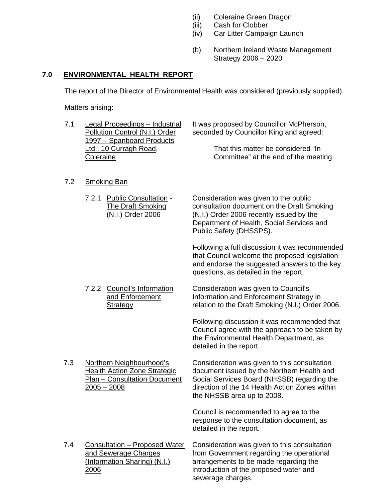- (ii) Coleraine Green Dragon<br>(iii) Cash for Clobber
- Cash for Clobber
- (iv) Car Litter Campaign Launch
- (b) Northern Ireland Waste Management Strategy 2006 – 2020

# **7.0 ENVIRONMENTAL HEALTH REPORT**

The report of the Director of Environmental Health was considered (previously supplied).

Matters arising:

| 7.1 | <b>Legal Proceedings - Industrial</b><br>Pollution Control (N.I.) Order<br>1997 - Spanboard Products<br>Ltd., 10 Curragh Road,<br>Coleraine | It was proposed by Councillor McPherson,<br>seconded by Councillor King and agreed:<br>That this matter be considered "In<br>Committee" at the end of the meeting.                                                        |
|-----|---------------------------------------------------------------------------------------------------------------------------------------------|---------------------------------------------------------------------------------------------------------------------------------------------------------------------------------------------------------------------------|
| 7.2 | <b>Smoking Ban</b>                                                                                                                          |                                                                                                                                                                                                                           |
|     | 7.2.1 Public Consultation -<br><b>The Draft Smoking</b><br>(N.I.) Order 2006                                                                | Consideration was given to the public<br>consultation document on the Draft Smoking<br>(N.I.) Order 2006 recently issued by the<br>Department of Health, Social Services and<br>Public Safety (DHSSPS).                   |
|     |                                                                                                                                             | Following a full discussion it was recommended<br>that Council welcome the proposed legislation<br>and endorse the suggested answers to the key<br>questions, as detailed in the report.                                  |
|     | 7.2.2 Council's Information<br>and Enforcement<br><b>Strategy</b>                                                                           | Consideration was given to Council's<br>Information and Enforcement Strategy in<br>relation to the Draft Smoking (N.I.) Order 2006.                                                                                       |
|     |                                                                                                                                             | Following discussion it was recommended that<br>Council agree with the approach to be taken by<br>the Environmental Health Department, as<br>detailed in the report.                                                      |
| 7.3 | Northern Neighbourhood's<br><b>Health Action Zone Strategic</b><br>Plan - Consultation Document<br>$2005 - 2008$                            | Consideration was given to this consultation<br>document issued by the Northern Health and<br>Social Services Board (NHSSB) regarding the<br>direction of the 14 Health Action Zones within<br>the NHSSB area up to 2008. |
|     |                                                                                                                                             | Council is recommended to agree to the<br>response to the consultation document, as<br>detailed in the report.                                                                                                            |
| 7.4 | <b>Consultation - Proposed Water</b><br>and Sewerage Charges<br>(Information Sharing) (N.I.)<br>2006                                        | Consideration was given to this consultation<br>from Government regarding the operational<br>arrangements to be made regarding the<br>introduction of the proposed water and<br>sewerage charges.                         |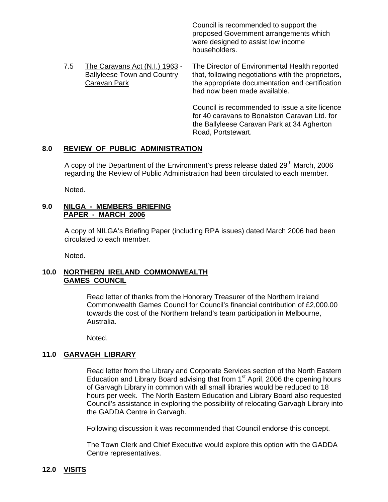Council is recommended to support the proposed Government arrangements which were designed to assist low income householders.

 7.5 The Caravans Act (N.I.) 1963 - The Director of Environmental Health reported Ballyleese Town and Country that, following negotiations with the proprietors, Caravan Park the appropriate documentation and certification had now been made available.

> Council is recommended to issue a site licence for 40 caravans to Bonalston Caravan Ltd. for the Ballyleese Caravan Park at 34 Agherton Road, Portstewart.

# **8.0 REVIEW OF PUBLIC ADMINISTRATION**

A copy of the Department of the Environment's press release dated  $29<sup>th</sup>$  March, 2006 regarding the Review of Public Administration had been circulated to each member.

Noted.

# **9.0 NILGA - MEMBERS BRIEFING PAPER - MARCH 2006**

A copy of NILGA's Briefing Paper (including RPA issues) dated March 2006 had been circulated to each member.

Noted.

# **10.0 NORTHERN IRELAND COMMONWEALTH GAMES COUNCIL**

Read letter of thanks from the Honorary Treasurer of the Northern Ireland Commonwealth Games Council for Council's financial contribution of £2,000.00 towards the cost of the Northern Ireland's team participation in Melbourne, Australia.

Noted.

# **11.0 GARVAGH LIBRARY**

Read letter from the Library and Corporate Services section of the North Eastern Education and Library Board advising that from  $1<sup>st</sup>$  April, 2006 the opening hours of Garvagh Library in common with all small libraries would be reduced to 18 hours per week. The North Eastern Education and Library Board also requested Council's assistance in exploring the possibility of relocating Garvagh Library into the GADDA Centre in Garvagh.

Following discussion it was recommended that Council endorse this concept.

The Town Clerk and Chief Executive would explore this option with the GADDA Centre representatives.

# **12.0 VISITS**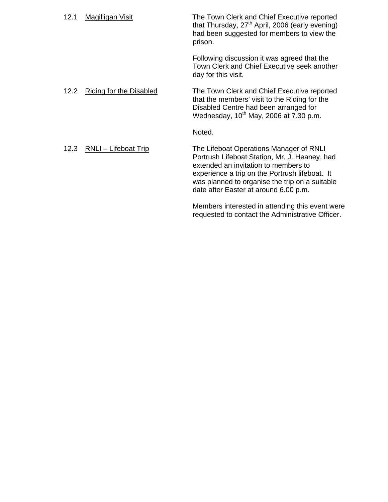| 12.1 | <b>Magilligan Visit</b>        | The Town Clerk and Chief Executive reported<br>that Thursday, 27 <sup>th</sup> April, 2006 (early evening)<br>had been suggested for members to view the<br>prison.                                                                                                           |
|------|--------------------------------|-------------------------------------------------------------------------------------------------------------------------------------------------------------------------------------------------------------------------------------------------------------------------------|
|      |                                | Following discussion it was agreed that the<br>Town Clerk and Chief Executive seek another<br>day for this visit.                                                                                                                                                             |
| 12.2 | <b>Riding for the Disabled</b> | The Town Clerk and Chief Executive reported<br>that the members' visit to the Riding for the<br>Disabled Centre had been arranged for<br>Wednesday, 10 <sup>th</sup> May, 2006 at 7.30 p.m.                                                                                   |
|      |                                | Noted.                                                                                                                                                                                                                                                                        |
| 12.3 | RNLI - Lifeboat Trip           | The Lifeboat Operations Manager of RNLI<br>Portrush Lifeboat Station, Mr. J. Heaney, had<br>extended an invitation to members to<br>experience a trip on the Portrush lifeboat. It<br>was planned to organise the trip on a suitable<br>date after Easter at around 6.00 p.m. |
|      |                                | Members interested in attending this event were                                                                                                                                                                                                                               |

requested to contact the Administrative Officer.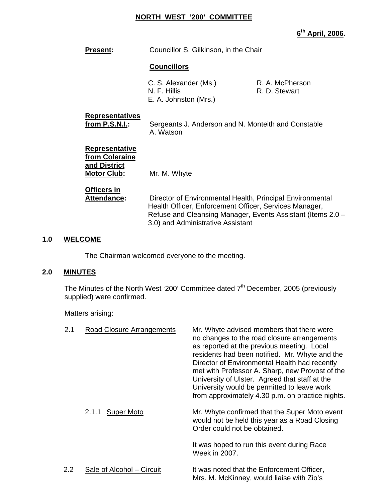### **NORTH WEST '200' COMMITTEE**

**6th April, 2006.** 

**Present:** Councillor S. Gilkinson, in the Chair

# **Councillors**

C. S. Alexander (Ms.) R. A. McPherson N. F. Hillis R. D. Stewart E. A. Johnston (Mrs.)

# **Representatives**

from P.S.N.I.: Sergeants J. Anderson and N. Monteith and Constable A. Watson

 **Representative from Coleraine and District**

**Motor Club:** Mr. M. Whyte

**Officers in**

 **Attendance:** Director of Environmental Health, Principal Environmental Health Officer, Enforcement Officer, Services Manager, Refuse and Cleansing Manager, Events Assistant (Items 2.0 – 3.0) and Administrative Assistant

# **1.0 WELCOME**

The Chairman welcomed everyone to the meeting.

# **2.0 MINUTES**

The Minutes of the North West '200' Committee dated  $7<sup>th</sup>$  December, 2005 (previously supplied) were confirmed.

Matters arising:

| 2.1              | <b>Road Closure Arrangements</b> | Mr. Whyte advised members that there were<br>no changes to the road closure arrangements<br>as reported at the previous meeting. Local<br>residents had been notified. Mr. Whyte and the<br>Director of Environmental Health had recently<br>met with Professor A. Sharp, new Provost of the<br>University of Ulster. Agreed that staff at the<br>University would be permitted to leave work<br>from approximately 4.30 p.m. on practice nights. |
|------------------|----------------------------------|---------------------------------------------------------------------------------------------------------------------------------------------------------------------------------------------------------------------------------------------------------------------------------------------------------------------------------------------------------------------------------------------------------------------------------------------------|
|                  | 2.1.1 Super Moto                 | Mr. Whyte confirmed that the Super Moto event<br>would not be held this year as a Road Closing<br>Order could not be obtained.                                                                                                                                                                                                                                                                                                                    |
|                  |                                  | It was hoped to run this event during Race<br>Week in 2007.                                                                                                                                                                                                                                                                                                                                                                                       |
| $2.2\phantom{0}$ | Sale of Alcohol - Circuit        | It was noted that the Enforcement Officer,<br>Mrs. M. McKinney, would liaise with Zio's                                                                                                                                                                                                                                                                                                                                                           |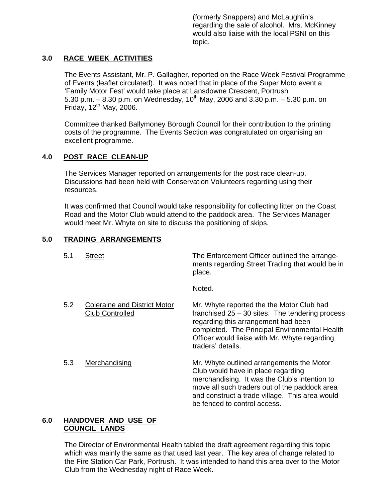(formerly Snappers) and McLaughlin's regarding the sale of alcohol. Mrs. McKinney would also liaise with the local PSNI on this topic.

# **3.0 RACE WEEK ACTIVITIES**

The Events Assistant, Mr. P. Gallagher, reported on the Race Week Festival Programme of Events (leaflet circulated). It was noted that in place of the Super Moto event a 'Family Motor Fest' would take place at Lansdowne Crescent, Portrush 5.30 p.m.  $-$  8.30 p.m. on Wednesday, 10<sup>th</sup> May, 2006 and 3.30 p.m.  $-$  5.30 p.m. on Friday,  $12<sup>th</sup>$  May, 2006.

Committee thanked Ballymoney Borough Council for their contribution to the printing costs of the programme. The Events Section was congratulated on organising an excellent programme.

# **4.0 POST RACE CLEAN-UP**

The Services Manager reported on arrangements for the post race clean-up. Discussions had been held with Conservation Volunteers regarding using their resources.

It was confirmed that Council would take responsibility for collecting litter on the Coast Road and the Motor Club would attend to the paddock area. The Services Manager would meet Mr. Whyte on site to discuss the positioning of skips.

# **5.0 TRADING ARRANGEMENTS**

| 5.1 | Street                                                        | The Enforcement Officer outlined the arrange-<br>ments regarding Street Trading that would be in<br>place.                                                                                                                                                          |
|-----|---------------------------------------------------------------|---------------------------------------------------------------------------------------------------------------------------------------------------------------------------------------------------------------------------------------------------------------------|
|     |                                                               | Noted.                                                                                                                                                                                                                                                              |
| 5.2 | <b>Coleraine and District Motor</b><br><b>Club Controlled</b> | Mr. Whyte reported the the Motor Club had<br>franchised $25 - 30$ sites. The tendering process<br>regarding this arrangement had been<br>completed. The Principal Environmental Health<br>Officer would liaise with Mr. Whyte regarding<br>traders' details.        |
| 5.3 | Merchandising                                                 | Mr. Whyte outlined arrangements the Motor<br>Club would have in place regarding<br>merchandising. It was the Club's intention to<br>move all such traders out of the paddock area<br>and construct a trade village. This area would<br>be fenced to control access. |

### **6.0 HANDOVER AND USE OF COUNCIL LANDS**

The Director of Environmental Health tabled the draft agreement regarding this topic which was mainly the same as that used last year. The key area of change related to the Fire Station Car Park, Portrush. It was intended to hand this area over to the Motor Club from the Wednesday night of Race Week.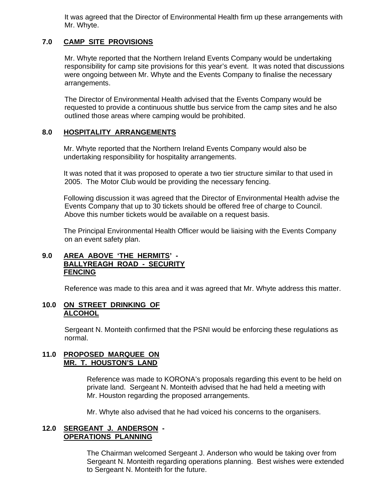It was agreed that the Director of Environmental Health firm up these arrangements with Mr. Whyte.

# **7.0 CAMP SITE PROVISIONS**

Mr. Whyte reported that the Northern Ireland Events Company would be undertaking responsibility for camp site provisions for this year's event. It was noted that discussions were ongoing between Mr. Whyte and the Events Company to finalise the necessary arrangements.

The Director of Environmental Health advised that the Events Company would be requested to provide a continuous shuttle bus service from the camp sites and he also outlined those areas where camping would be prohibited.

# **8.0 HOSPITALITY ARRANGEMENTS**

Mr. Whyte reported that the Northern Ireland Events Company would also be undertaking responsibility for hospitality arrangements.

It was noted that it was proposed to operate a two tier structure similar to that used in 2005. The Motor Club would be providing the necessary fencing.

Following discussion it was agreed that the Director of Environmental Health advise the Events Company that up to 30 tickets should be offered free of charge to Council. Above this number tickets would be available on a request basis.

The Principal Environmental Health Officer would be liaising with the Events Company on an event safety plan.

# **9.0 AREA ABOVE 'THE HERMITS' - BALLYREAGH ROAD - SECURITY FENCING**

Reference was made to this area and it was agreed that Mr. Whyte address this matter.

### **10.0 ON STREET DRINKING OF ALCOHOL**

Sergeant N. Monteith confirmed that the PSNI would be enforcing these regulations as normal.

#### **11.0 PROPOSED MARQUEE ON MR. T. HOUSTON'S LAND**

Reference was made to KORONA's proposals regarding this event to be held on private land. Sergeant N. Monteith advised that he had held a meeting with Mr. Houston regarding the proposed arrangements.

Mr. Whyte also advised that he had voiced his concerns to the organisers.

### **12.0 SERGEANT J. ANDERSON - OPERATIONS PLANNING**

The Chairman welcomed Sergeant J. Anderson who would be taking over from Sergeant N. Monteith regarding operations planning. Best wishes were extended to Sergeant N. Monteith for the future.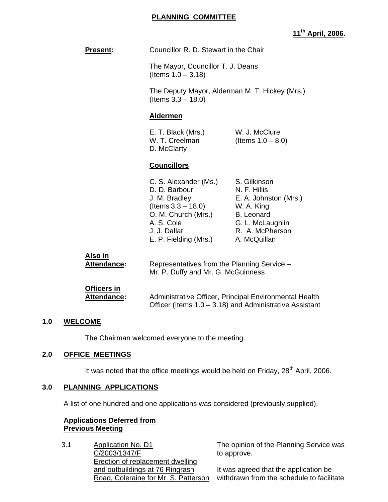### **PLANNING COMMITTEE**

# **11th April, 2006.**

| <b>Present:</b> | Councillor R. D. Stewart in the Chair |
|-----------------|---------------------------------------|
|-----------------|---------------------------------------|

 The Mayor, Councillor T. J. Deans (Items 1.0 – 3.18)

 The Deputy Mayor, Alderman M. T. Hickey (Mrs.) (Items 3.3 – 18.0)

#### **Aldermen**

 E. T. Black (Mrs.) W. J. McClure W. T. Creelman  $($ Items  $1.0 - 8.0)$ D. McClarty

#### **Councillors**

| C. S. Alexander (Ms.) | S. Gilkinson          |
|-----------------------|-----------------------|
| D. D. Barbour         | N. F. Hillis          |
| J. M. Bradley         | E. A. Johnston (Mrs.) |
| (Items $3.3 - 18.0$ ) | W. A. King            |
| O. M. Church (Mrs.)   | <b>B.</b> Leonard     |
| A. S. Cole            | G. L. McLaughlin      |
| J. J. Dallat          | R. A. McPherson       |
| E. P. Fielding (Mrs.) | A. McQuillan          |

Officer (Items 1.0 – 3.18) and Administrative Assistant

| Also in                           | Representatives from the Planning Service -            |
|-----------------------------------|--------------------------------------------------------|
| Attendance:                       | Mr. P. Duffy and Mr. G. McGuinness                     |
| <b>Officers in</b><br>Attendance: | Administrative Officer, Principal Environmental Health |

# **1.0 WELCOME**

The Chairman welcomed everyone to the meeting.

#### **2.0 OFFICE MEETINGS**

It was noted that the office meetings would be held on Friday,  $28<sup>th</sup>$  April, 2006.

#### **3.0 PLANNING APPLICATIONS**

A list of one hundred and one applications was considered (previously supplied).

### **Applications Deferred from Previous Meeting**

3.1 Application No. D1 C/2003/1347/F Erection of replacement dwelling and outbuildings at 76 Ringrash Road, Coleraine for Mr. S. Patterson

The opinion of the Planning Service was to approve.

It was agreed that the application be withdrawn from the schedule to facilitate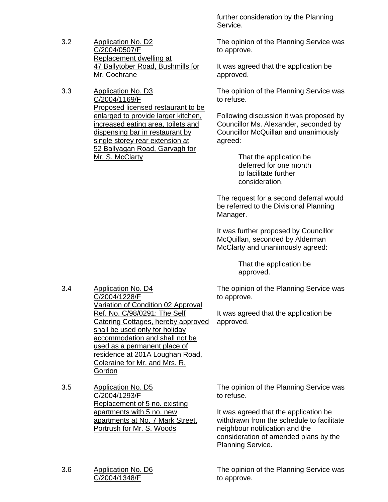- 3.2 Application No. D2 C/2004/0507/F Replacement dwelling at 47 Ballytober Road, Bushmills for Mr. Cochrane
- 3.3 Application No. D3 C/2004/1169/F Proposed licensed restaurant to be enlarged to provide larger kitchen, increased eating area, toilets and dispensing bar in restaurant by single storey rear extension at 52 Ballyagan Road, Garvagh for Mr. S. McClarty

further consideration by the Planning Service.

The opinion of the Planning Service was to approve.

It was agreed that the application be approved.

The opinion of the Planning Service was to refuse.

Following discussion it was proposed by Councillor Ms. Alexander, seconded by Councillor McQuillan and unanimously agreed:

> That the application be deferred for one month to facilitate further consideration.

The request for a second deferral would be referred to the Divisional Planning Manager.

It was further proposed by Councillor McQuillan, seconded by Alderman McClarty and unanimously agreed:

> That the application be approved.

The opinion of the Planning Service was to approve.

It was agreed that the application be approved.

- 3.4 Application No. D4 C/2004/1228/F Variation of Condition 02 Approval Ref. No. C/98/0291: The Self Catering Cottages, hereby approved shall be used only for holiday accommodation and shall not be used as a permanent place of residence at 201A Loughan Road, Coleraine for Mr. and Mrs. R. **Gordon**
- 3.5 Application No. D5 C/2004/1293/F Replacement of 5 no. existing apartments with 5 no. new apartments at No. 7 Mark Street, Portrush for Mr. S. Woods

3.6 Application No. D6 C/2004/1348/F

The opinion of the Planning Service was to refuse.

It was agreed that the application be withdrawn from the schedule to facilitate neighbour notification and the consideration of amended plans by the Planning Service.

The opinion of the Planning Service was to approve.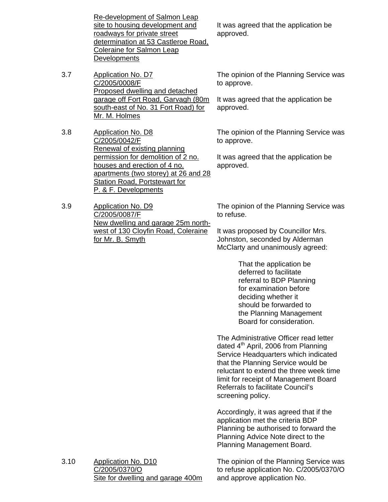Re-development of Salmon Leap site to housing development and roadways for private street determination at 53 Castleroe Road, Coleraine for Salmon Leap **Developments** 

- 3.7 Application No. D7 C/2005/0008/F Proposed dwelling and detached garage off Fort Road, Garvagh (80m south-east of No. 31 Fort Road) for Mr. M. Holmes
- 3.8 Application No. D8 C/2005/0042/F Renewal of existing planning permission for demolition of 2 no. houses and erection of 4 no. apartments (two storey) at 26 and 28 Station Road, Portstewart for P. & F. Developments

3.9 Application No. D9 C/2005/0087/F New dwelling and garage 25m northwest of 130 Cloyfin Road, Coleraine for Mr. B. Smyth

It was agreed that the application be approved.

The opinion of the Planning Service was to approve.

It was agreed that the application be approved.

The opinion of the Planning Service was to approve.

It was agreed that the application be approved.

The opinion of the Planning Service was to refuse.

It was proposed by Councillor Mrs. Johnston, seconded by Alderman McClarty and unanimously agreed:

> That the application be deferred to facilitate referral to BDP Planning for examination before deciding whether it should be forwarded to the Planning Management Board for consideration.

The Administrative Officer read letter dated  $4<sup>th</sup>$  April, 2006 from Planning Service Headquarters which indicated that the Planning Service would be reluctant to extend the three week time limit for receipt of Management Board Referrals to facilitate Council's screening policy.

Accordingly, it was agreed that if the application met the criteria BDP Planning be authorised to forward the Planning Advice Note direct to the Planning Management Board.

3.10 Application No. D10 C/2005/0370/O Site for dwelling and garage 400m The opinion of the Planning Service was to refuse application No. C/2005/0370/O and approve application No.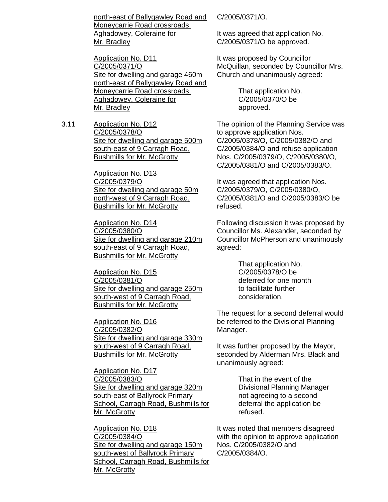north-east of Ballygawley Road and Moneycarrie Road crossroads, Aghadowey, Coleraine for Mr. Bradley

Application No. D11 C/2005/0371/O Site for dwelling and garage 460m north-east of Ballygawley Road and Moneycarrie Road crossroads, Aghadowey, Coleraine for Mr. Bradley

3.11 Application No. D12 C/2005/0378/O Site for dwelling and garage 500m south-east of 9 Carragh Road, Bushmills for Mr. McGrotty

> Application No. D13 C/2005/0379/O Site for dwelling and garage 50m north-west of 9 Carragh Road, Bushmills for Mr. McGrotty

Application No. D14 C/2005/0380/O Site for dwelling and garage 210m south-east of 9 Carragh Road, Bushmills for Mr. McGrotty

Application No. D15 C/2005/0381/O Site for dwelling and garage 250m south-west of 9 Carragh Road, Bushmills for Mr. McGrotty

Application No. D16 C/2005/0382/O Site for dwelling and garage 330m south-west of 9 Carragh Road, Bushmills for Mr. McGrotty

Application No. D17 C/2005/0383/O Site for dwelling and garage 320m south-east of Ballyrock Primary School, Carragh Road, Bushmills for Mr. McGrotty

Application No. D18 C/2005/0384/O Site for dwelling and garage 150m south-west of Ballyrock Primary School, Carragh Road, Bushmills for Mr. McGrotty

C/2005/0371/O.

It was agreed that application No. C/2005/0371/O be approved.

It was proposed by Councillor McQuillan, seconded by Councillor Mrs. Church and unanimously agreed:

> That application No. C/2005/0370/O be approved.

The opinion of the Planning Service was to approve application Nos. C/2005/0378/O, C/2005/0382/O and C/2005/0384/O and refuse application Nos. C/2005/0379/O, C/2005/0380/O, C/2005/0381/O and C/2005/0383/O.

It was agreed that application Nos. C/2005/0379/O, C/2005/0380/O, C/2005/0381/O and C/2005/0383/O be refused.

Following discussion it was proposed by Councillor Ms. Alexander, seconded by Councillor McPherson and unanimously agreed:

> That application No. C/2005/0378/O be deferred for one month to facilitate further consideration.

The request for a second deferral would be referred to the Divisional Planning Manager.

It was further proposed by the Mayor, seconded by Alderman Mrs. Black and unanimously agreed:

> That in the event of the Divisional Planning Manager not agreeing to a second deferral the application be refused.

It was noted that members disagreed with the opinion to approve application Nos. C/2005/0382/O and C/2005/0384/O.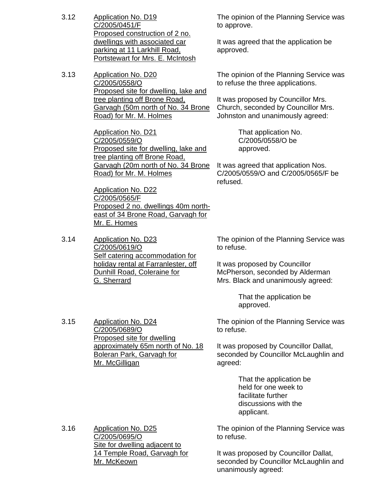- 3.12 Application No. D19 C/2005/0451/F Proposed construction of 2 no. dwellings with associated car parking at 11 Larkhill Road, Portstewart for Mrs. E. McIntosh
- 3.13 Application No. D20 C/2005/0558/O Proposed site for dwelling, lake and tree planting off Brone Road, Garvagh (50m north of No. 34 Brone Road) for Mr. M. Holmes

Application No. D21 C/2005/0559/O Proposed site for dwelling, lake and tree planting off Brone Road, Garvagh (20m north of No. 34 Brone Road) for Mr. M. Holmes

Application No. D22 C/2005/0565/F Proposed 2 no. dwellings 40m northeast of 34 Brone Road, Garvagh for Mr. E. Homes

3.14 Application No. D23 C/2005/0619/O Self catering accommodation for holiday rental at Farranlester, off Dunhill Road, Coleraine for G. Sherrard

The opinion of the Planning Service was to approve.

It was agreed that the application be approved.

The opinion of the Planning Service was to refuse the three applications.

It was proposed by Councillor Mrs. Church, seconded by Councillor Mrs. Johnston and unanimously agreed:

> That application No. C/2005/0558/O be approved.

It was agreed that application Nos. C/2005/0559/O and C/2005/0565/F be refused.

The opinion of the Planning Service was to refuse.

It was proposed by Councillor McPherson, seconded by Alderman Mrs. Black and unanimously agreed:

> That the application be approved.

The opinion of the Planning Service was to refuse.

It was proposed by Councillor Dallat, seconded by Councillor McLaughlin and agreed:

> That the application be held for one week to facilitate further discussions with the applicant.

The opinion of the Planning Service was to refuse.

It was proposed by Councillor Dallat, seconded by Councillor McLaughlin and unanimously agreed:

3.15 Application No. D24 C/2005/0689/O Proposed site for dwelling approximately 65m north of No. 18 Boleran Park, Garvagh for Mr. McGilligan

3.16 Application No. D25

C/2005/0695/O Site for dwelling adjacent to 14 Temple Road, Garvagh for Mr. McKeown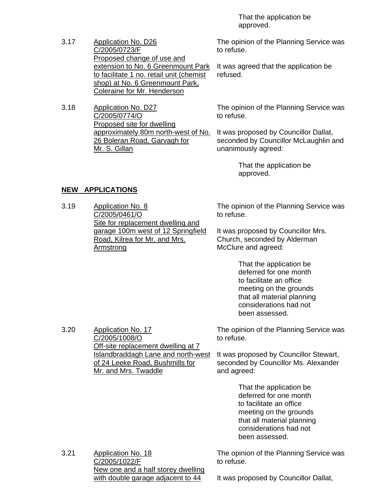That the application be approved.

- 3.17 Application No. D26 C/2005/0723/F Proposed change of use and extension to No. 6 Greenmount Park to facilitate 1 no. retail unit (chemist shop) at No. 6 Greenmount Park, Coleraine for Mr. Henderson
- 3.18 Application No. D27 C/2005/0774/O Proposed site for dwelling approximately 80m north-west of No. 26 Boleran Road, Garvagh for Mr. S. Gillan

The opinion of the Planning Service was to refuse.

It was agreed that the application be refused.

The opinion of the Planning Service was to refuse.

It was proposed by Councillor Dallat, seconded by Councillor McLaughlin and unanimously agreed:

> That the application be approved.

# **NEW APPLICATIONS**

3.20 Application No. 17

C/2005/1008/O

Mr. and Mrs. Twaddle

Off-site replacement dwelling at 7 Islandbraddagh Lane and north-west of 24 Leeke Road, Bushmills for

3.19 Application No. 8 C/2005/0461/O Site for replacement dwelling and garage 100m west of 12 Springfield Road, Kilrea for Mr. and Mrs. Armstrong

The opinion of the Planning Service was to refuse.

It was proposed by Councillor Mrs. Church, seconded by Alderman McClure and agreed:

> That the application be deferred for one month to facilitate an office meeting on the grounds that all material planning considerations had not been assessed.

The opinion of the Planning Service was to refuse.

It was proposed by Councillor Stewart, seconded by Councillor Ms. Alexander and agreed:

> That the application be deferred for one month to facilitate an office meeting on the grounds that all material planning considerations had not been assessed.

3.21 Application No. 18 C/2005/1022/F New one and a half storey dwelling with double garage adjacent to 44

The opinion of the Planning Service was to refuse.

It was proposed by Councillor Dallat,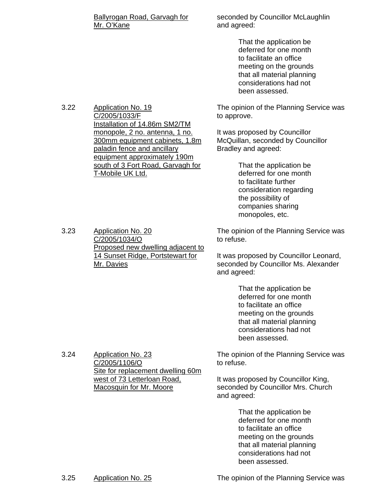### Ballyrogan Road, Garvagh for Mr. O'Kane

seconded by Councillor McLaughlin and agreed:

> That the application be deferred for one month to facilitate an office meeting on the grounds that all material planning considerations had not been assessed.

The opinion of the Planning Service was to approve.

It was proposed by Councillor McQuillan, seconded by Councillor Bradley and agreed:

> That the application be deferred for one month to facilitate further consideration regarding the possibility of companies sharing monopoles, etc.

The opinion of the Planning Service was to refuse.

It was proposed by Councillor Leonard, seconded by Councillor Ms. Alexander and agreed:

> That the application be deferred for one month to facilitate an office meeting on the grounds that all material planning considerations had not been assessed.

The opinion of the Planning Service was to refuse.

It was proposed by Councillor King, seconded by Councillor Mrs. Church and agreed:

> That the application be deferred for one month to facilitate an office meeting on the grounds that all material planning considerations had not been assessed.

3.22 Application No. 19 C/2005/1033/F Installation of 14.86m SM2/TM monopole, 2 no. antenna, 1 no. 300mm equipment cabinets, 1.8m paladin fence and ancillary equipment approximately 190m south of 3 Fort Road, Garvagh for T-Mobile UK Ltd.

3.23 Application No. 20 C/2005/1034/O Proposed new dwelling adjacent to 14 Sunset Ridge, Portstewart for Mr. Davies

3.24 Application No. 23

C/2005/1106/O

Site for replacement dwelling 60m

west of 73 Letterloan Road, Macosquin for Mr. Moore

3.25 Application No. 25 The opinion of the Planning Service was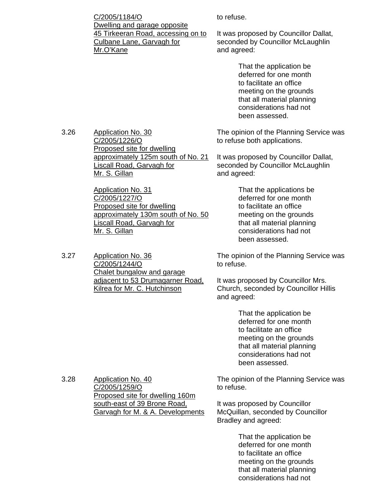C/2005/1184/O Dwelling and garage opposite 45 Tirkeeran Road, accessing on to Culbane Lane, Garvagh for Mr.O'Kane

to refuse.

It was proposed by Councillor Dallat, seconded by Councillor McLaughlin and agreed:

> That the application be deferred for one month to facilitate an office meeting on the grounds that all material planning considerations had not been assessed.

The opinion of the Planning Service was to refuse both applications.

It was proposed by Councillor Dallat, seconded by Councillor McLaughlin and agreed:

> That the applications be deferred for one month to facilitate an office meeting on the grounds that all material planning considerations had not been assessed.

The opinion of the Planning Service was to refuse.

It was proposed by Councillor Mrs. Church, seconded by Councillor Hillis and agreed:

> That the application be deferred for one month to facilitate an office meeting on the grounds that all material planning considerations had not been assessed.

The opinion of the Planning Service was to refuse.

It was proposed by Councillor McQuillan, seconded by Councillor Bradley and agreed:

> That the application be deferred for one month to facilitate an office meeting on the grounds that all material planning considerations had not

3.26 Application No. 30 C/2005/1226/O Proposed site for dwelling approximately 125m south of No. 21 Liscall Road, Garvagh for Mr. S. Gillan

> Application No. 31 C/2005/1227/O Proposed site for dwelling approximately 130m south of No. 50 Liscall Road, Garvagh for Mr. S. Gillan

3.27 Application No. 36 C/2005/1244/O Chalet bungalow and garage adjacent to 53 Drumagarner Road, Kilrea for Mr. C. Hutchinson

3.28 Application No. 40 C/2005/1259/O Proposed site for dwelling 160m south-east of 39 Brone Road, Garvagh for M. & A. Developments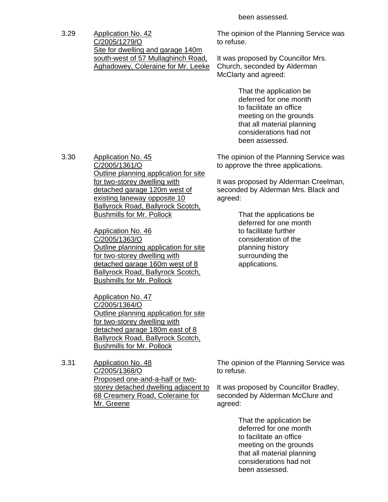been assessed.

3.29 Application No. 42 C/2005/1279/O Site for dwelling and garage 140m south-west of 57 Mullaghinch Road, Aghadowey, Coleraine for Mr. Leeke

The opinion of the Planning Service was to refuse.

It was proposed by Councillor Mrs. Church, seconded by Alderman McClarty and agreed:

> That the application be deferred for one month to facilitate an office meeting on the grounds that all material planning considerations had not been assessed.

The opinion of the Planning Service was to approve the three applications.

It was proposed by Alderman Creelman, seconded by Alderman Mrs. Black and agreed:

> That the applications be deferred for one month to facilitate further consideration of the planning history surrounding the applications.

3.30 Application No. 45 C/2005/1361/O Outline planning application for site for two-storey dwelling with detached garage 120m west of existing laneway opposite 10 Ballyrock Road, Ballyrock Scotch, Bushmills for Mr. Pollock

> Application No. 46 C/2005/1363/O Outline planning application for site for two-storey dwelling with detached garage 160m west of 8 Ballyrock Road, Ballyrock Scotch, Bushmills for Mr. Pollock

> Application No. 47 C/2005/1364/O Outline planning application for site for two-storey dwelling with detached garage 180m east of 8 Ballyrock Road, Ballyrock Scotch, Bushmills for Mr. Pollock

3.31 Application No. 48 C/2005/1368/O Proposed one-and-a-half or twostorey detached dwelling adjacent to 68 Creamery Road, Coleraine for Mr. Greene

The opinion of the Planning Service was to refuse.

It was proposed by Councillor Bradley, seconded by Alderman McClure and agreed:

> That the application be deferred for one month to facilitate an office meeting on the grounds that all material planning considerations had not been assessed.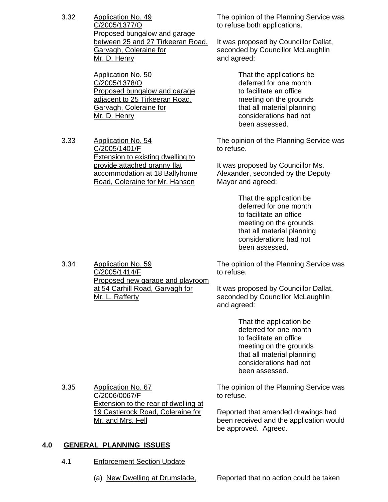3.32 Application No. 49 C/2005/1377/O Proposed bungalow and garage between 25 and 27 Tirkeeran Road, Garvagh, Coleraine for Mr. D. Henry

> Application No. 50 C/2005/1378/O Proposed bungalow and garage adjacent to 25 Tirkeeran Road, Garvagh, Coleraine for Mr. D. Henry

3.33 Application No. 54 C/2005/1401/F Extension to existing dwelling to provide attached granny flat accommodation at 18 Ballyhome Road, Coleraine for Mr. Hanson

The opinion of the Planning Service was to refuse both applications.

It was proposed by Councillor Dallat, seconded by Councillor McLaughlin and agreed:

> That the applications be deferred for one month to facilitate an office meeting on the grounds that all material planning considerations had not been assessed.

The opinion of the Planning Service was to refuse.

It was proposed by Councillor Ms. Alexander, seconded by the Deputy Mayor and agreed:

> That the application be deferred for one month to facilitate an office meeting on the grounds that all material planning considerations had not been assessed.

The opinion of the Planning Service was to refuse.

It was proposed by Councillor Dallat, seconded by Councillor McLaughlin and agreed:

> That the application be deferred for one month to facilitate an office meeting on the grounds that all material planning considerations had not been assessed.

3.35 Application No. 67 C/2006/0067/F **Extension to the rear of dwelling at** 19 Castlerock Road, Coleraine for Mr. and Mrs. Fell

The opinion of the Planning Service was to refuse.

Reported that amended drawings had been received and the application would be approved. Agreed.

# **4.0 GENERAL PLANNING ISSUES**

- 4.1 Enforcement Section Update
	- (a) New Dwelling at Drumslade, Reported that no action could be taken

3.34 Application No. 59 C/2005/1414/F Proposed new garage and playroom at 54 Carhill Road, Garvagh for Mr. L. Rafferty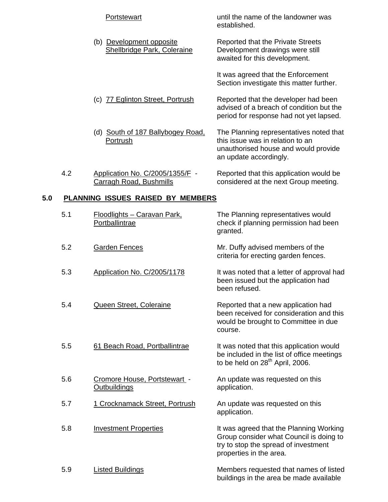|     |     | Portstewart                                                | until the name of the landowner was<br>established.                                                                                                   |
|-----|-----|------------------------------------------------------------|-------------------------------------------------------------------------------------------------------------------------------------------------------|
|     |     | (b) Development opposite<br>Shellbridge Park, Coleraine    | <b>Reported that the Private Streets</b><br>Development drawings were still<br>awaited for this development.                                          |
|     |     |                                                            | It was agreed that the Enforcement<br>Section investigate this matter further.                                                                        |
|     |     | (c) 77 Eglinton Street, Portrush                           | Reported that the developer had been<br>advised of a breach of condition but the<br>period for response had not yet lapsed.                           |
|     |     | (d) South of 187 Ballybogey Road,<br>Portrush              | The Planning representatives noted that<br>this issue was in relation to an<br>unauthorised house and would provide<br>an update accordingly.         |
|     | 4.2 | Application No. C/2005/1355/F -<br>Carragh Road, Bushmills | Reported that this application would be<br>considered at the next Group meeting.                                                                      |
| 5.0 |     | <b>PLANNING ISSUES RAISED BY MEMBERS</b>                   |                                                                                                                                                       |
|     | 5.1 | <u> Floodlights – Caravan Park,</u><br>Portballintrae      | The Planning representatives would<br>check if planning permission had been<br>granted.                                                               |
|     | 5.2 | <b>Garden Fences</b>                                       | Mr. Duffy advised members of the<br>criteria for erecting garden fences.                                                                              |
|     | 5.3 | Application No. C/2005/1178                                | It was noted that a letter of approval had<br>been issued but the application had<br>been refused.                                                    |
|     | 5.4 | Queen Street, Coleraine                                    | Reported that a new application had<br>been received for consideration and this<br>would be brought to Committee in due<br>course.                    |
|     | 5.5 | 61 Beach Road, Portballintrae                              | It was noted that this application would<br>be included in the list of office meetings<br>to be held on 28 <sup>th</sup> April, 2006.                 |
|     | 5.6 | Cromore House, Portstewart -<br><b>Outbuildings</b>        | An update was requested on this<br>application.                                                                                                       |
|     | 5.7 | 1 Crocknamack Street, Portrush                             | An update was requested on this<br>application.                                                                                                       |
|     | 5.8 | <b>Investment Properties</b>                               | It was agreed that the Planning Working<br>Group consider what Council is doing to<br>try to stop the spread of investment<br>properties in the area. |

5.9 Listed Buildings Communication Members requested that names of listed buildings in the area be made available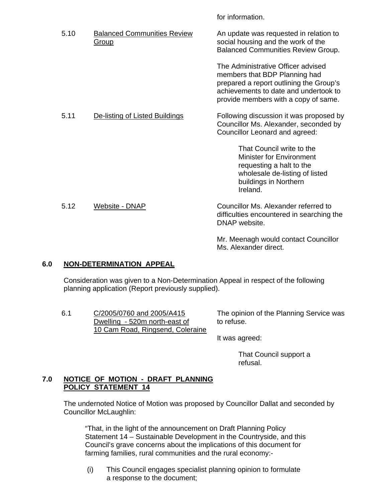for information.

| 5.10 | <b>Balanced Communities Review</b><br><u>Group</u> | An update was requested in relation to<br>social housing and the work of the<br><b>Balanced Communities Review Group.</b>                                                                       |
|------|----------------------------------------------------|-------------------------------------------------------------------------------------------------------------------------------------------------------------------------------------------------|
|      |                                                    | The Administrative Officer advised<br>members that BDP Planning had<br>prepared a report outlining the Group's<br>achievements to date and undertook to<br>provide members with a copy of same. |
| 5.11 | De-listing of Listed Buildings                     | Following discussion it was proposed by<br>Councillor Ms. Alexander, seconded by<br>Councillor Leonard and agreed:                                                                              |
|      |                                                    | That Council write to the<br><b>Minister for Environment</b><br>requesting a halt to the<br>wholesale de-listing of listed<br>buildings in Northern<br>Ireland.                                 |
| 5.12 | Website - DNAP                                     | Councillor Ms. Alexander referred to<br>difficulties encountered in searching the<br>DNAP website.                                                                                              |
|      |                                                    | Mr. Meenagh would contact Councillor                                                                                                                                                            |

# **6.0 NON-DETERMINATION APPEAL**

 Consideration was given to a Non-Determination Appeal in respect of the following planning application (Report previously supplied).

6.1 C/2005/0760 and 2005/A415 Dwelling - 520m north-east of 10 Cam Road, Ringsend, Coleraine

The opinion of the Planning Service was to refuse.

It was agreed:

Ms. Alexander direct.

 That Council support a refusal.

# **7.0 NOTICE OF MOTION - DRAFT PLANNING POLICY STATEMENT 14**

 The undernoted Notice of Motion was proposed by Councillor Dallat and seconded by Councillor McLaughlin:

 "That, in the light of the announcement on Draft Planning Policy Statement 14 – Sustainable Development in the Countryside, and this Council's grave concerns about the implications of this document for farming families, rural communities and the rural economy:-

 (i) This Council engages specialist planning opinion to formulate a response to the document;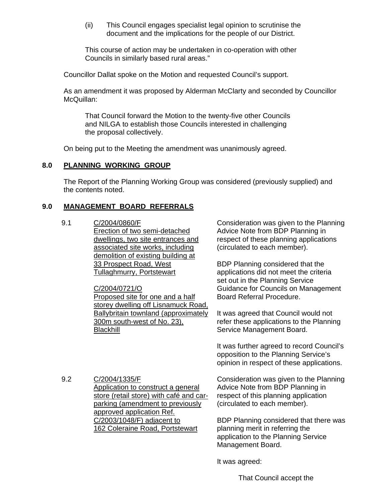(ii) This Council engages specialist legal opinion to scrutinise the document and the implications for the people of our District.

 This course of action may be undertaken in co-operation with other Councils in similarly based rural areas."

Councillor Dallat spoke on the Motion and requested Council's support.

 As an amendment it was proposed by Alderman McClarty and seconded by Councillor McQuillan:

 That Council forward the Motion to the twenty-five other Councils and NILGA to establish those Councils interested in challenging the proposal collectively.

On being put to the Meeting the amendment was unanimously agreed.

# **8.0 PLANNING WORKING GROUP**

 The Report of the Planning Working Group was considered (previously supplied) and the contents noted.

# **9.0 MANAGEMENT BOARD REFERRALS**

### 9.1 C/2004/0860/F

Erection of two semi-detached dwellings, two site entrances and associated site works, including demolition of existing building at 33 Prospect Road, West Tullaghmurry, Portstewart

# C/2004/0721/O

Proposed site for one and a half storey dwelling off Lisnamuck Road, Ballybritain townland (approximately 300m south-west of No. 23), **Blackhill** 

Consideration was given to the Planning Advice Note from BDP Planning in respect of these planning applications (circulated to each member).

BDP Planning considered that the applications did not meet the criteria set out in the Planning Service Guidance for Councils on Management Board Referral Procedure.

It was agreed that Council would not refer these applications to the Planning Service Management Board.

It was further agreed to record Council's opposition to the Planning Service's opinion in respect of these applications.

9.2 C/2004/1335/F Application to construct a general store (retail store) with café and carparking (amendment to previously approved application Ref. C/2003/1048/F) adjacent to 162 Coleraine Road, Portstewart

Consideration was given to the Planning Advice Note from BDP Planning in respect of this planning application (circulated to each member).

BDP Planning considered that there was planning merit in referring the application to the Planning Service Management Board.

It was agreed:

That Council accept the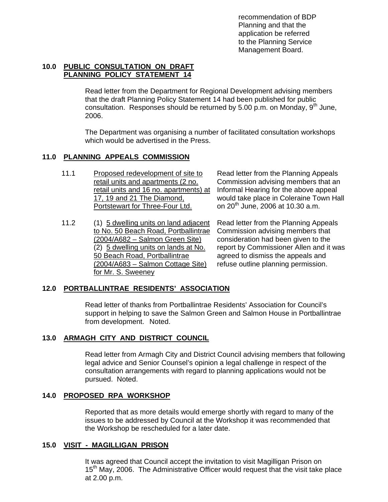recommendation of BDP Planning and that the application be referred to the Planning Service Management Board.

# **10.0 PUBLIC CONSULTATION ON DRAFT PLANNING POLICY STATEMENT 14**

 Read letter from the Department for Regional Development advising members that the draft Planning Policy Statement 14 had been published for public consultation. Responses should be returned by 5.00 p.m. on Monday,  $9<sup>m</sup>$  June, 2006.

 The Department was organising a number of facilitated consultation workshops which would be advertised in the Press.

# **11.0 PLANNING APPEALS COMMISSION**

- 11.1 Proposed redevelopment of site to retail units and apartments (2 no. retail units and 16 no. apartments) at 17, 19 and 21 The Diamond, Portstewart for Three-Four Ltd.
- 11.2 (1) 5 dwelling units on land adjacent to No. 50 Beach Road, Portballintrae (2004/A682 – Salmon Green Site) (2) 5 dwelling units on lands at No. 50 Beach Road, Portballintrae (2004/A683 – Salmon Cottage Site) for Mr. S. Sweeney

Read letter from the Planning Appeals Commission advising members that an Informal Hearing for the above appeal would take place in Coleraine Town Hall on  $20^{th}$  June, 2006 at 10.30 a.m.

Read letter from the Planning Appeals Commission advising members that consideration had been given to the report by Commissioner Allen and it was agreed to dismiss the appeals and refuse outline planning permission.

# **12.0 PORTBALLINTRAE RESIDENTS' ASSOCIATION**

 Read letter of thanks from Portballintrae Residents' Association for Council's support in helping to save the Salmon Green and Salmon House in Portballintrae from development. Noted.

# **13.0 ARMAGH CITY AND DISTRICT COUNCIL**

 Read letter from Armagh City and District Council advising members that following legal advice and Senior Counsel's opinion a legal challenge in respect of the consultation arrangements with regard to planning applications would not be pursued. Noted.

# **14.0 PROPOSED RPA WORKSHOP**

 Reported that as more details would emerge shortly with regard to many of the issues to be addressed by Council at the Workshop it was recommended that the Workshop be rescheduled for a later date.

# **15.0 VISIT - MAGILLIGAN PRISON**

 It was agreed that Council accept the invitation to visit Magilligan Prison on 15<sup>th</sup> May, 2006. The Administrative Officer would request that the visit take place at 2.00 p.m.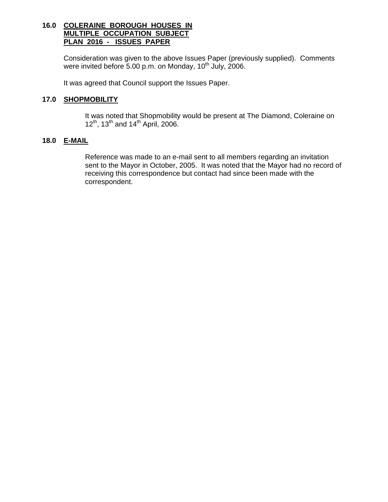# **16.0 COLERAINE BOROUGH HOUSES IN MULTIPLE OCCUPATION SUBJECT PLAN 2016 - ISSUES PAPER**

 Consideration was given to the above Issues Paper (previously supplied). Comments were invited before 5.00 p.m. on Monday,  $10<sup>th</sup>$  July, 2006.

It was agreed that Council support the Issues Paper.

# **17.0 SHOPMOBILITY**

 It was noted that Shopmobility would be present at The Diamond, Coleraine on  $12^{th}$ ,  $13^{th}$  and  $14^{th}$  April, 2006.

# **18.0 E-MAIL**

 Reference was made to an e-mail sent to all members regarding an invitation sent to the Mayor in October, 2005. It was noted that the Mayor had no record of receiving this correspondence but contact had since been made with the correspondent.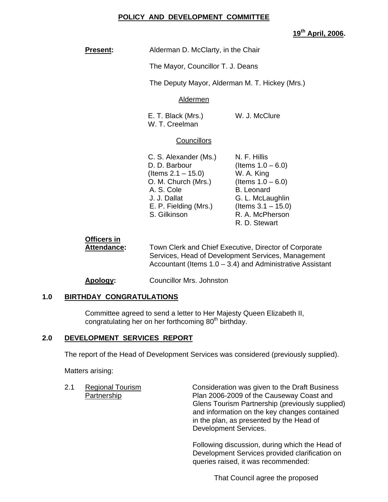# **POLICY AND DEVELOPMENT COMMITTEE**

**19th April, 2006.** 

**Present:** Alderman D. McClarty, in the Chair

The Mayor, Councillor T. J. Deans

The Deputy Mayor, Alderman M. T. Hickey (Mrs.)

# Aldermen

E. T. Black (Mrs.) W. J. McClure W. T. Creelman

# **Councillors**

| C. S. Alexander (Ms.) | N. F. Hillis          |
|-----------------------|-----------------------|
| D. D. Barbour         | (Items $1.0 - 6.0$ )  |
| (Items $2.1 - 15.0$ ) | W. A. King            |
| O. M. Church (Mrs.)   | (Items $1.0 - 6.0$ )  |
| A. S. Cole            | <b>B.</b> Leonard     |
| J. J. Dallat          | G. L. McLaughlin      |
| E. P. Fielding (Mrs.) | (Items $3.1 - 15.0$ ) |
| S. Gilkinson          | R. A. McPherson       |
|                       | R. D. Stewart         |

 **Officers in Attendance:** Town Clerk and Chief Executive, Director of Corporate Services, Head of Development Services, Management Accountant (Items 1.0 – 3.4) and Administrative Assistant

**Apology:** Councillor Mrs. Johnston

# **1.0 BIRTHDAY CONGRATULATIONS**

Committee agreed to send a letter to Her Majesty Queen Elizabeth II, congratulating her on her forthcoming  $80<sup>th</sup>$  birthday.

# **2.0 DEVELOPMENT SERVICES REPORT**

The report of the Head of Development Services was considered (previously supplied).

Matters arising:

2.1 Regional Tourism Consideration was given to the Draft Business Partnership Plan 2006-2009 of the Causeway Coast and Glens Tourism Partnership (previously supplied) and information on the key changes contained in the plan, as presented by the Head of Development Services.

> Following discussion, during which the Head of Development Services provided clarification on queries raised, it was recommended:

> > That Council agree the proposed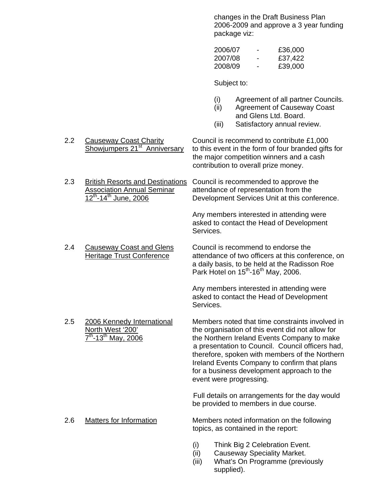changes in the Draft Business Plan 2006-2009 and approve a 3 year funding package viz:

| - | £36,000 |
|---|---------|
| - | £37,422 |
| - | £39,000 |
|   |         |

Subject to:

- (i) Agreement of all partner Councils.
- (ii) Agreement of Causeway Coast and Glens Ltd. Board.
- (iii) Satisfactory annual review.
- 2.2 Causeway Coast Charity<br>Showjumpers 21<sup>st</sup> Anniversary to this event in the form of four branded gifts to this event in the form of four branded gifts for the major competition winners and a cash contribution to overall prize money.
- 2.3 British Resorts and Destinations Council is recommended to approve the Association Annual Seminar attendance of representation from the 12<sup>th</sup>-14<sup>th</sup> June, 2006 Development Services Unit at this conference.

 Any members interested in attending were asked to contact the Head of Development Services.

2.4 Causeway Coast and Glens Council is recommend to endorse the Heritage Trust Conference attendance of two officers at this conference, on a daily basis, to be held at the Radisson Roe Park Hotel on  $15^{th}$ -16<sup>th</sup> May, 2006.

> Any members interested in attending were asked to contact the Head of Development Services.

2.5 2006 Kennedy International Members noted that time constraints involved in North West '200' the organisation of this event did not allow for  $7<sup>th</sup>$ -13<sup>th</sup> May, 2006 the Northern Ireland Events Company to make a presentation to Council. Council officers had, therefore, spoken with members of the Northern Ireland Events Company to confirm that plans

> Full details on arrangements for the day would be provided to members in due course.

for a business development approach to the

2.6 Matters for Information Members noted information on the following topics, as contained in the report:

event were progressing.

- (i) Think Big 2 Celebration Event.
- (ii) Causeway Speciality Market.
- (iii) What's On Programme (previously supplied).
- 
-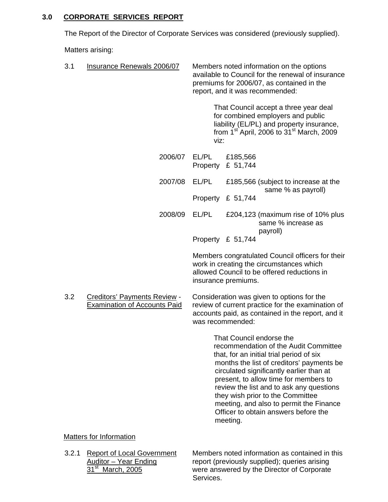# **3.0 CORPORATE SERVICES REPORT**

The Report of the Director of Corporate Services was considered (previously supplied).

Matters arising:

| 3.1                                                                               | Insurance Renewals 2006/07        | Members noted information on the options<br>available to Council for the renewal of insurance<br>premiums for 2006/07, as contained in the<br>report, and it was recommended:                                                                                                                                                                                                                                                  |
|-----------------------------------------------------------------------------------|-----------------------------------|--------------------------------------------------------------------------------------------------------------------------------------------------------------------------------------------------------------------------------------------------------------------------------------------------------------------------------------------------------------------------------------------------------------------------------|
|                                                                                   |                                   | That Council accept a three year deal<br>for combined employers and public<br>liability (EL/PL) and property insurance,<br>from 1 <sup>st</sup> April, 2006 to 31 <sup>st</sup> March, 2009<br>viz:                                                                                                                                                                                                                            |
|                                                                                   | 2006/07                           | EL/PL<br>£185,566<br>£ 51,744<br>Property                                                                                                                                                                                                                                                                                                                                                                                      |
|                                                                                   | 2007/08                           | EL/PL<br>£185,566 (subject to increase at the                                                                                                                                                                                                                                                                                                                                                                                  |
|                                                                                   |                                   | same % as payroll)<br>Property £ 51,744                                                                                                                                                                                                                                                                                                                                                                                        |
|                                                                                   | 2008/09                           | EL/PL<br>£204,123 (maximum rise of 10% plus<br>same % increase as<br>payroll)                                                                                                                                                                                                                                                                                                                                                  |
|                                                                                   |                                   | Property £ 51,744                                                                                                                                                                                                                                                                                                                                                                                                              |
|                                                                                   |                                   | Members congratulated Council officers for their<br>work in creating the circumstances which<br>allowed Council to be offered reductions in<br>insurance premiums.                                                                                                                                                                                                                                                             |
| 3.2<br><b>Creditors' Payments Review -</b><br><b>Examination of Accounts Paid</b> |                                   | Consideration was given to options for the<br>review of current practice for the examination of<br>accounts paid, as contained in the report, and it<br>was recommended:                                                                                                                                                                                                                                                       |
|                                                                                   |                                   | That Council endorse the<br>recommendation of the Audit Committee<br>that, for an initial trial period of six<br>months the list of creditors' payments be<br>circulated significantly earlier than at<br>present, to allow time for members to<br>review the list and to ask any questions<br>they wish prior to the Committee<br>meeting, and also to permit the Finance<br>Officer to obtain answers before the<br>meeting. |
|                                                                                   | Matters for Information           |                                                                                                                                                                                                                                                                                                                                                                                                                                |
| 3.2.1                                                                             | <b>Report of Local Government</b> | Members noted information as contained in this                                                                                                                                                                                                                                                                                                                                                                                 |

Auditor – Year Ending report (previously supplied); queries arising 31<sup>st</sup> March, 2005 were answered by the Director of Corporate Services.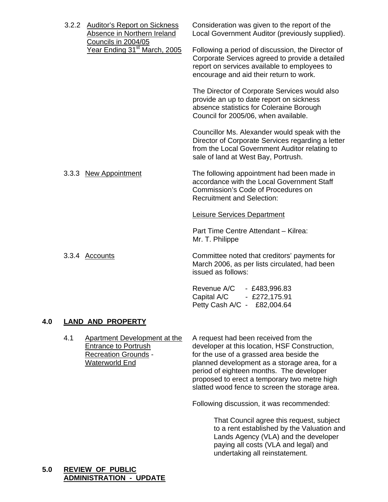|  | <b>Auditor's Report on Sickness</b><br>3.2.2<br>Absence in Northern Ireland<br>Councils in 2004/05<br>Year Ending 31 <sup>st</sup> March, 2005 | Consideration was given to the report of the<br>Local Government Auditor (previously supplied). |                                                                                                                                                                                                 |
|--|------------------------------------------------------------------------------------------------------------------------------------------------|-------------------------------------------------------------------------------------------------|-------------------------------------------------------------------------------------------------------------------------------------------------------------------------------------------------|
|  |                                                                                                                                                |                                                                                                 | Following a period of discussion, the Director of<br>Corporate Services agreed to provide a detailed<br>report on services available to employees to<br>encourage and aid their return to work. |
|  |                                                                                                                                                |                                                                                                 | The Director of Corporate Services would also<br>provide an up to date report on sickness<br>absence statistics for Coleraine Borough<br>Council for 2005/06, when available.                   |
|  |                                                                                                                                                |                                                                                                 | Councillor Ms. Alexander would speak with the<br>Director of Corporate Services regarding a letter<br>from the Local Government Auditor relating to<br>sale of land at West Bay, Portrush.      |
|  |                                                                                                                                                | 3.3.3 New Appointment                                                                           | The following appointment had been made in<br>accordance with the Local Government Staff<br>Commission's Code of Procedures on<br><b>Recruitment and Selection:</b>                             |
|  |                                                                                                                                                |                                                                                                 | <b>Leisure Services Department</b>                                                                                                                                                              |
|  |                                                                                                                                                |                                                                                                 | Part Time Centre Attendant - Kilrea:<br>Mr. T. Philippe                                                                                                                                         |
|  |                                                                                                                                                | 3.3.4 Accounts                                                                                  | Committee noted that creditors' payments for<br>March 2006, as per lists circulated, had been<br>issued as follows:                                                                             |
|  |                                                                                                                                                |                                                                                                 | Revenue A/C<br>$-$ £483,996.83                                                                                                                                                                  |

#### **4.0 LAND AND PROPERTY**

4.1 Apartment Development at the A request had been received from the<br>Entrance to Portrush developer at this location, HSF Constru Entrance to Portrush<br>
Recreation Grounds - The use of a grassed area beside the<br>
for the use of a grassed area beside the for the use of a grassed area beside the Waterworld End planned development as a storage area, for a period of eighteen months. The developer proposed to erect a temporary two metre high slatted wood fence to screen the storage area.

Following discussion, it was recommended:

 Capital A/C - £272,175.91 Petty Cash A/C - £82,004.64

> That Council agree this request, subject to a rent established by the Valuation and Lands Agency (VLA) and the developer paying all costs (VLA and legal) and undertaking all reinstatement.

# **5.0 REVIEW OF PUBLIC ADMINISTRATION - UPDATE**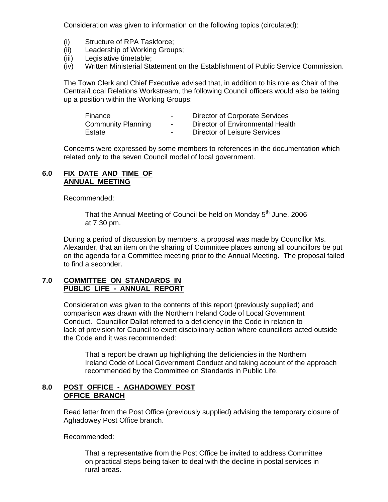Consideration was given to information on the following topics (circulated):

- (i) Structure of RPA Taskforce;
- (ii) Leadership of Working Groups;
- (iii) Legislative timetable;
- (iv) Written Ministerial Statement on the Establishment of Public Service Commission.

 The Town Clerk and Chief Executive advised that, in addition to his role as Chair of the Central/Local Relations Workstream, the following Council officers would also be taking up a position within the Working Groups:

| Finance                   | $\sim$ | Director of Corporate Services   |
|---------------------------|--------|----------------------------------|
| <b>Community Planning</b> | $\sim$ | Director of Environmental Health |
| Estate                    | $\sim$ | Director of Leisure Services     |

Concerns were expressed by some members to references in the documentation which related only to the seven Council model of local government.

#### **6.0 FIX DATE AND TIME OF ANNUAL MEETING**

Recommended:

That the Annual Meeting of Council be held on Monday  $5<sup>th</sup>$  June, 2006 at 7.30 pm.

During a period of discussion by members, a proposal was made by Councillor Ms. Alexander, that an item on the sharing of Committee places among all councillors be put on the agenda for a Committee meeting prior to the Annual Meeting. The proposal failed to find a seconder.

#### **7.0 COMMITTEE ON STANDARDS IN PUBLIC LIFE - ANNUAL REPORT**

Consideration was given to the contents of this report (previously supplied) and comparison was drawn with the Northern Ireland Code of Local Government Conduct. Councillor Dallat referred to a deficiency in the Code in relation to lack of provision for Council to exert disciplinary action where councillors acted outside the Code and it was recommended:

 That a report be drawn up highlighting the deficiencies in the Northern Ireland Code of Local Government Conduct and taking account of the approach recommended by the Committee on Standards in Public Life.

# **8.0 POST OFFICE - AGHADOWEY POST OFFICE BRANCH**

Read letter from the Post Office (previously supplied) advising the temporary closure of Aghadowey Post Office branch.

Recommended:

 That a representative from the Post Office be invited to address Committee on practical steps being taken to deal with the decline in postal services in rural areas.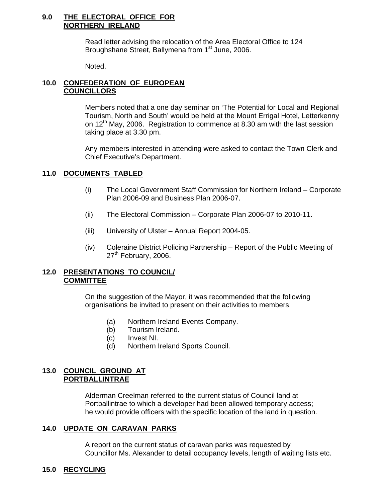### **9.0 THE ELECTORAL OFFICE FOR NORTHERN IRELAND**

 Read letter advising the relocation of the Area Electoral Office to 124 Broughshane Street, Ballymena from 1<sup>st</sup> June, 2006.

Noted.

# **10.0 CONFEDERATION OF EUROPEAN COUNCILLORS**

 Members noted that a one day seminar on 'The Potential for Local and Regional Tourism, North and South' would be held at the Mount Errigal Hotel, Letterkenny on  $12<sup>th</sup>$  May, 2006. Registration to commence at 8.30 am with the last session taking place at 3.30 pm.

Any members interested in attending were asked to contact the Town Clerk and Chief Executive's Department.

# **11.0 DOCUMENTS TABLED**

- (i) The Local Government Staff Commission for Northern Ireland Corporate Plan 2006-09 and Business Plan 2006-07.
- (ii) The Electoral Commission Corporate Plan 2006-07 to 2010-11.
- (iii) University of Ulster Annual Report 2004-05.
- (iv) Coleraine District Policing Partnership Report of the Public Meeting of  $27<sup>th</sup>$  February, 2006.

### **12.0 PRESENTATIONS TO COUNCIL/ COMMITTEE**

On the suggestion of the Mayor, it was recommended that the following organisations be invited to present on their activities to members:

- (a) Northern Ireland Events Company.
- (b) Tourism Ireland.
- (c) Invest NI.
- (d) Northern Ireland Sports Council.

# **13.0 COUNCIL GROUND AT PORTBALLINTRAE**

Alderman Creelman referred to the current status of Council land at Portballintrae to which a developer had been allowed temporary access; he would provide officers with the specific location of the land in question.

# **14.0 UPDATE ON CARAVAN PARKS**

A report on the current status of caravan parks was requested by Councillor Ms. Alexander to detail occupancy levels, length of waiting lists etc.

# **15.0 RECYCLING**